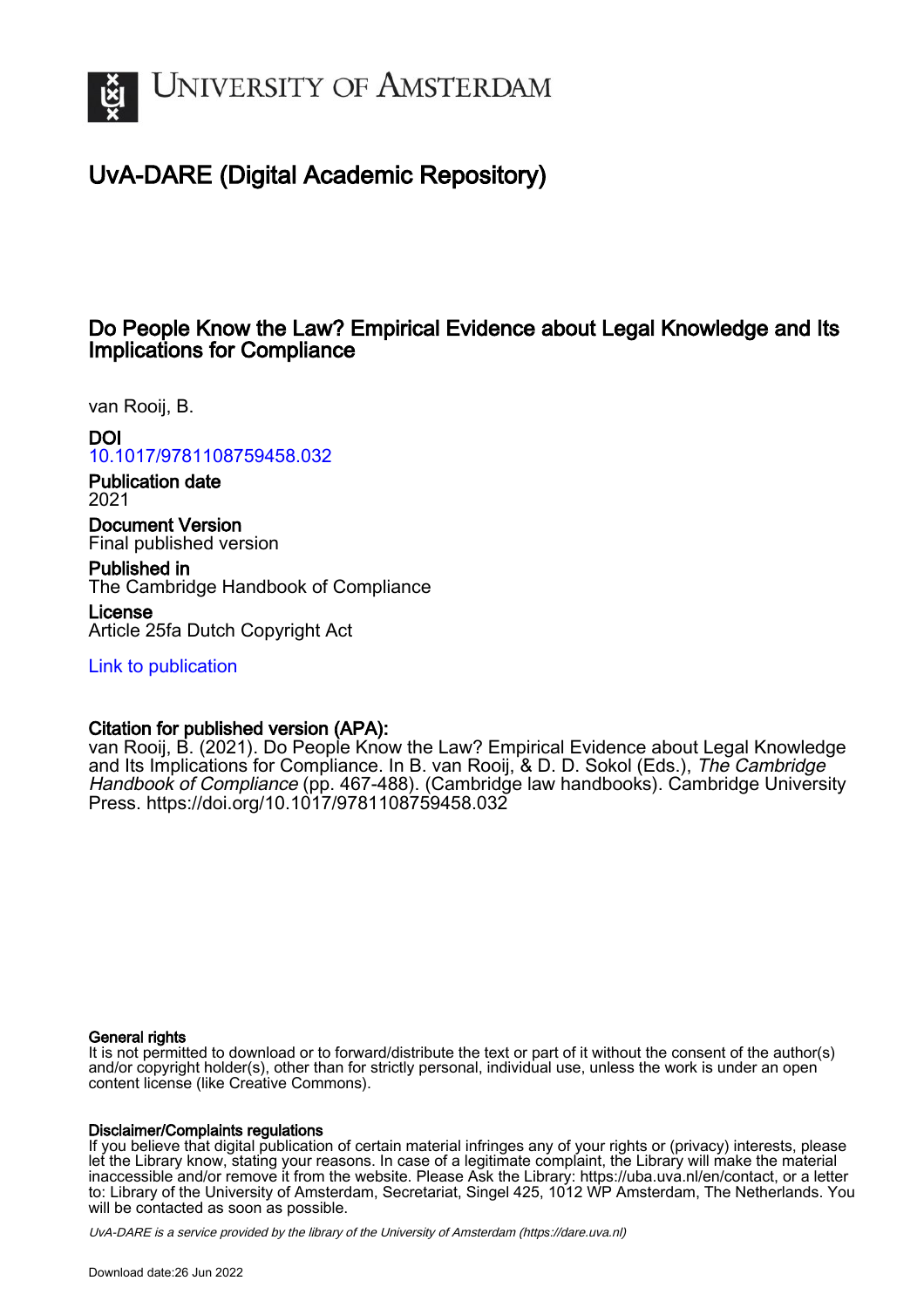

# UvA-DARE (Digital Academic Repository)

## Do People Know the Law? Empirical Evidence about Legal Knowledge and Its Implications for Compliance

van Rooij, B.

## DOI

[10.1017/9781108759458.032](https://doi.org/10.1017/9781108759458.032)

Publication date 2021

Document Version Final published version

Published in The Cambridge Handbook of Compliance

License Article 25fa Dutch Copyright Act

[Link to publication](https://dare.uva.nl/personal/pure/en/publications/do-people-know-the-law-empirical-evidence-about-legal-knowledge-and-its-implications-for-compliance(d8e6dded-a51a-476c-9dd9-8e848d5ff8ea).html)

### Citation for published version (APA):

van Rooij, B. (2021). Do People Know the Law? Empirical Evidence about Legal Knowledge and Its Implications for Compliance. In B. van Rooij, & D. D. Sokol (Eds.), The Cambridge Handbook of Compliance (pp. 467-488). (Cambridge law handbooks). Cambridge University Press.<https://doi.org/10.1017/9781108759458.032>

#### General rights

It is not permitted to download or to forward/distribute the text or part of it without the consent of the author(s) and/or copyright holder(s), other than for strictly personal, individual use, unless the work is under an open content license (like Creative Commons).

#### Disclaimer/Complaints regulations

If you believe that digital publication of certain material infringes any of your rights or (privacy) interests, please let the Library know, stating your reasons. In case of a legitimate complaint, the Library will make the material inaccessible and/or remove it from the website. Please Ask the Library: https://uba.uva.nl/en/contact, or a letter to: Library of the University of Amsterdam, Secretariat, Singel 425, 1012 WP Amsterdam, The Netherlands. You will be contacted as soon as possible.

UvA-DARE is a service provided by the library of the University of Amsterdam (http*s*://dare.uva.nl)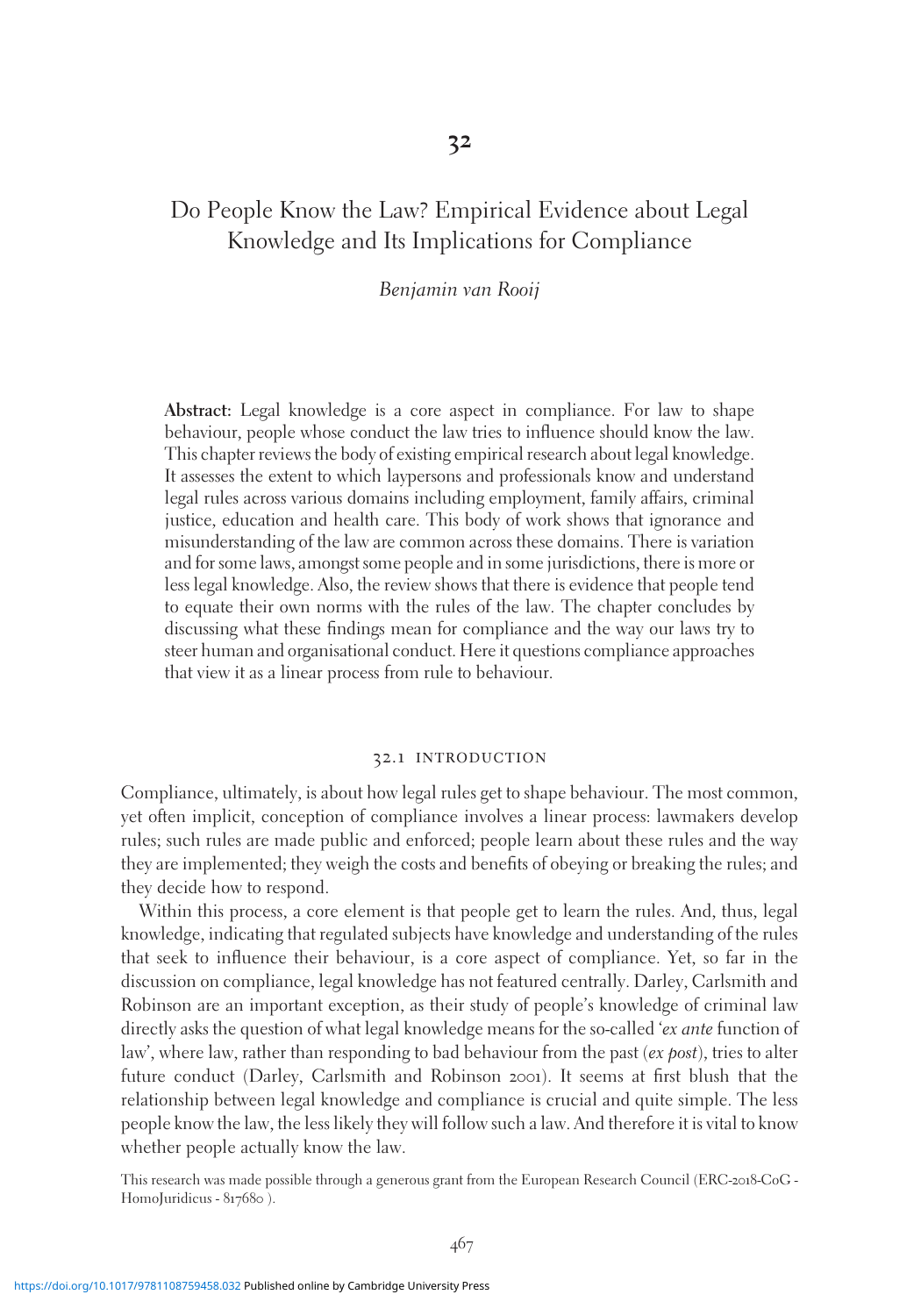## Do People Know the Law? Empirical Evidence about Legal Knowledge and Its Implications for Compliance

#### Benjamin van Rooij

Abstract: Legal knowledge is a core aspect in compliance. For law to shape behaviour, people whose conduct the law tries to influence should know the law. This chapter reviews the body of existing empirical research about legal knowledge. It assesses the extent to which laypersons and professionals know and understand legal rules across various domains including employment, family affairs, criminal justice, education and health care. This body of work shows that ignorance and misunderstanding of the law are common across these domains. There is variation and for some laws, amongst some people and in some jurisdictions, there is more or less legal knowledge. Also, the review shows that there is evidence that people tend to equate their own norms with the rules of the law. The chapter concludes by discussing what these findings mean for compliance and the way our laws try to steer human and organisational conduct. Here it questions compliance approaches that view it as a linear process from rule to behaviour.

#### 32.1 introduction

Compliance, ultimately, is about how legal rules get to shape behaviour. The most common, yet often implicit, conception of compliance involves a linear process: lawmakers develop rules; such rules are made public and enforced; people learn about these rules and the way they are implemented; they weigh the costs and benefits of obeying or breaking the rules; and they decide how to respond.

Within this process, a core element is that people get to learn the rules. And, thus, legal knowledge, indicating that regulated subjects have knowledge and understanding of the rules that seek to influence their behaviour, is a core aspect of compliance. Yet, so far in the discussion on compliance, legal knowledge has not featured centrally. Darley, Carlsmith and Robinson are an important exception, as their study of people's knowledge of criminal law directly asks the question of what legal knowledge means for the so-called 'ex ante function of law', where law, rather than responding to bad behaviour from the past ( $ex$  *post*), tries to alter future conduct (Darley, Carlsmith and Robinson 2001). It seems at first blush that the relationship between legal knowledge and compliance is crucial and quite simple. The less people know the law, the less likely they will follow such a law. And therefore it is vital to know whether people actually know the law.

This research was made possible through a generous grant from the European Research Council (ERC-2018-CoG - HomoJuridicus - 817680).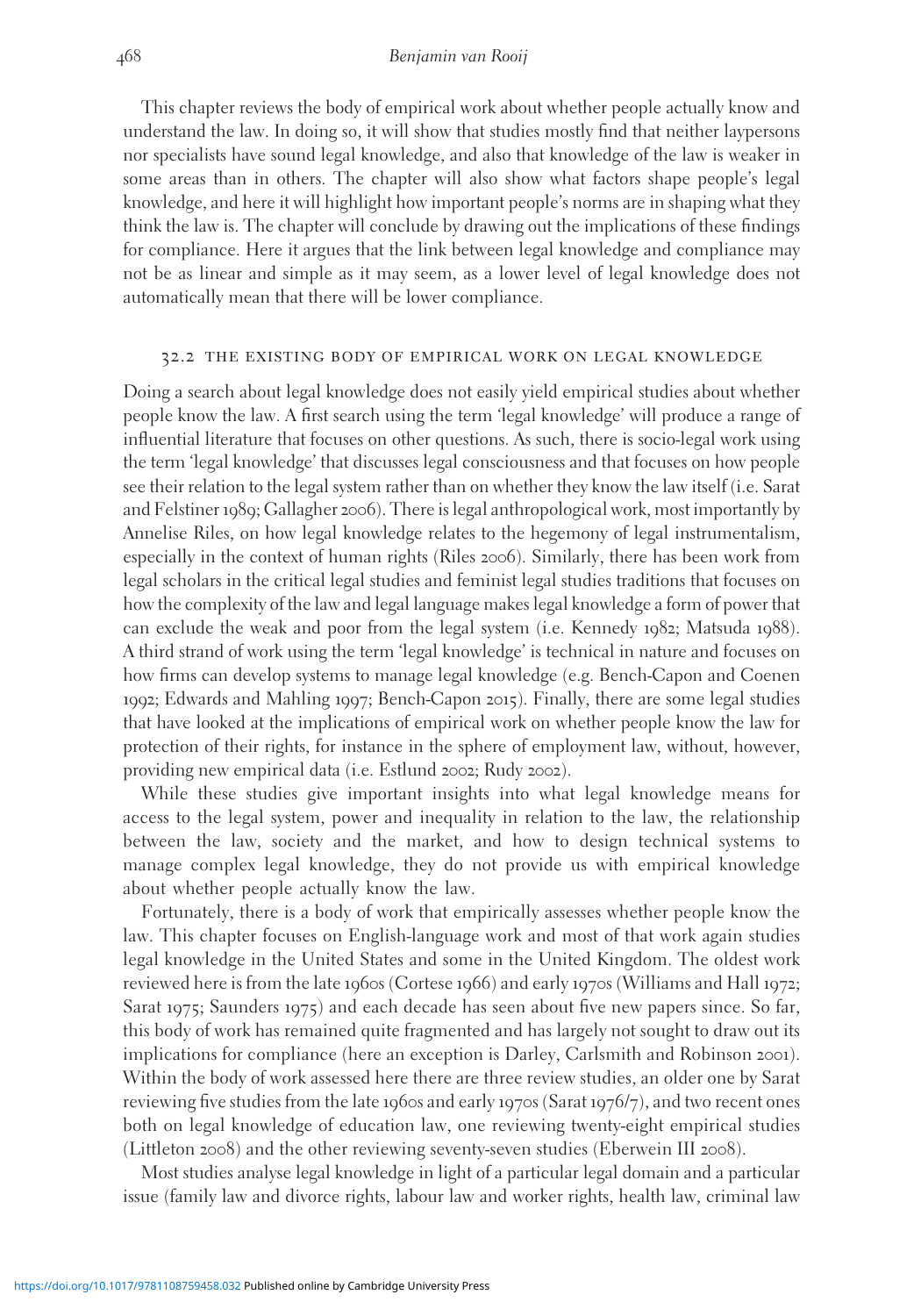This chapter reviews the body of empirical work about whether people actually know and understand the law. In doing so, it will show that studies mostly find that neither laypersons nor specialists have sound legal knowledge, and also that knowledge of the law is weaker in some areas than in others. The chapter will also show what factors shape people's legal knowledge, and here it will highlight how important people's norms are in shaping what they think the law is. The chapter will conclude by drawing out the implications of these findings for compliance. Here it argues that the link between legal knowledge and compliance may not be as linear and simple as it may seem, as a lower level of legal knowledge does not automatically mean that there will be lower compliance.

#### 32.2 the existing body of empirical work on legal knowledge

Doing a search about legal knowledge does not easily yield empirical studies about whether people know the law. A first search using the term 'legal knowledge' will produce a range of influential literature that focuses on other questions. As such, there is socio-legal work using the term 'legal knowledge' that discusses legal consciousness and that focuses on how people see their relation to the legal system rather than on whether they know the law itself (i.e. Sarat and Felstiner 1989; Gallagher 2006). There is legal anthropological work, most importantly by Annelise Riles, on how legal knowledge relates to the hegemony of legal instrumentalism, especially in the context of human rights (Riles 2006). Similarly, there has been work from legal scholars in the critical legal studies and feminist legal studies traditions that focuses on how the complexity of the law and legal language makes legal knowledge a form of power that can exclude the weak and poor from the legal system (i.e. Kennedy 1982; Matsuda 1988). A third strand of work using the term 'legal knowledge' is technical in nature and focuses on how firms can develop systems to manage legal knowledge (e.g. Bench-Capon and Coenen 1992; Edwards and Mahling 1997; Bench-Capon 2015). Finally, there are some legal studies that have looked at the implications of empirical work on whether people know the law for protection of their rights, for instance in the sphere of employment law, without, however, providing new empirical data (i.e. Estlund 2002; Rudy 2002).

While these studies give important insights into what legal knowledge means for access to the legal system, power and inequality in relation to the law, the relationship between the law, society and the market, and how to design technical systems to manage complex legal knowledge, they do not provide us with empirical knowledge about whether people actually know the law.

Fortunately, there is a body of work that empirically assesses whether people know the law. This chapter focuses on English-language work and most of that work again studies legal knowledge in the United States and some in the United Kingdom. The oldest work reviewed here is from the late 1960s (Cortese 1966) and early 1970s (Williams and Hall 1972; Sarat 1975; Saunders 1975) and each decade has seen about five new papers since. So far, this body of work has remained quite fragmented and has largely not sought to draw out its implications for compliance (here an exception is Darley, Carlsmith and Robinson 2001). Within the body of work assessed here there are three review studies, an older one by Sarat reviewing five studies from the late 1960s and early 1970s (Sarat 1976/7), and two recent ones both on legal knowledge of education law, one reviewing twenty-eight empirical studies (Littleton 2008) and the other reviewing seventy-seven studies (Eberwein III 2008).

Most studies analyse legal knowledge in light of a particular legal domain and a particular issue (family law and divorce rights, labour law and worker rights, health law, criminal law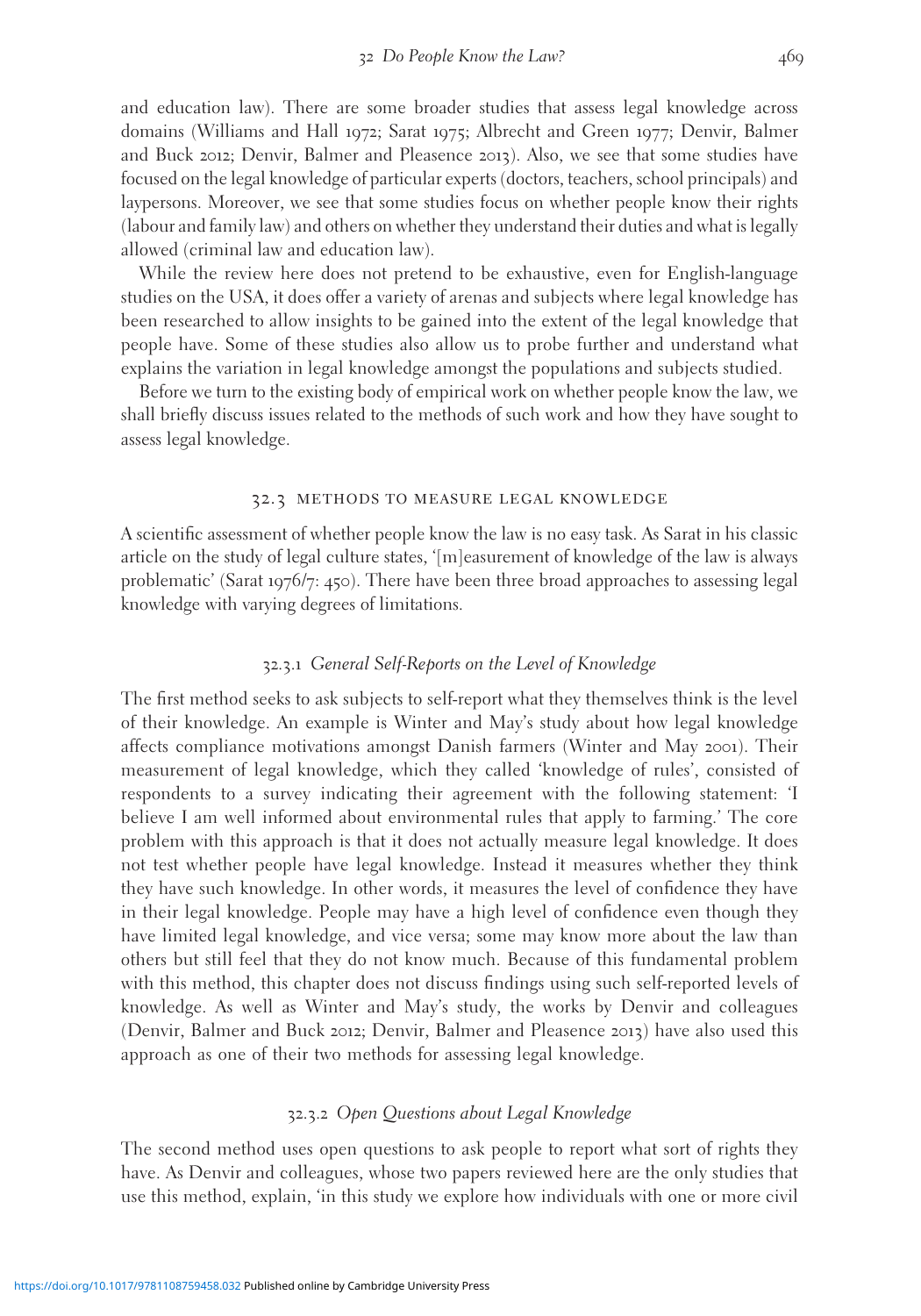and education law). There are some broader studies that assess legal knowledge across domains (Williams and Hall 1972; Sarat 1975; Albrecht and Green 1977; Denvir, Balmer and Buck 2012; Denvir, Balmer and Pleasence 2013). Also, we see that some studies have focused on the legal knowledge of particular experts (doctors, teachers, school principals) and laypersons. Moreover, we see that some studies focus on whether people know their rights (labour and family law) and others on whether they understand their duties and what is legally allowed (criminal law and education law).

While the review here does not pretend to be exhaustive, even for English-language studies on the USA, it does offer a variety of arenas and subjects where legal knowledge has been researched to allow insights to be gained into the extent of the legal knowledge that people have. Some of these studies also allow us to probe further and understand what explains the variation in legal knowledge amongst the populations and subjects studied.

Before we turn to the existing body of empirical work on whether people know the law, we shall briefly discuss issues related to the methods of such work and how they have sought to assess legal knowledge.

#### 32.3 methods to measure legal knowledge

A scientific assessment of whether people know the law is no easy task. As Sarat in his classic article on the study of legal culture states, '[m]easurement of knowledge of the law is always problematic' (Sarat 1976/7: 450). There have been three broad approaches to assessing legal knowledge with varying degrees of limitations.

#### 32.3.1 General Self-Reports on the Level of Knowledge

The first method seeks to ask subjects to self-report what they themselves think is the level of their knowledge. An example is Winter and May's study about how legal knowledge affects compliance motivations amongst Danish farmers (Winter and May 2001). Their measurement of legal knowledge, which they called 'knowledge of rules', consisted of respondents to a survey indicating their agreement with the following statement: 'I believe I am well informed about environmental rules that apply to farming.' The core problem with this approach is that it does not actually measure legal knowledge. It does not test whether people have legal knowledge. Instead it measures whether they think they have such knowledge. In other words, it measures the level of confidence they have in their legal knowledge. People may have a high level of confidence even though they have limited legal knowledge, and vice versa; some may know more about the law than others but still feel that they do not know much. Because of this fundamental problem with this method, this chapter does not discuss findings using such self-reported levels of knowledge. As well as Winter and May's study, the works by Denvir and colleagues (Denvir, Balmer and Buck 2012; Denvir, Balmer and Pleasence 2013) have also used this approach as one of their two methods for assessing legal knowledge.

#### 32.3.2 Open Questions about Legal Knowledge

The second method uses open questions to ask people to report what sort of rights they have. As Denvir and colleagues, whose two papers reviewed here are the only studies that use this method, explain, 'in this study we explore how individuals with one or more civil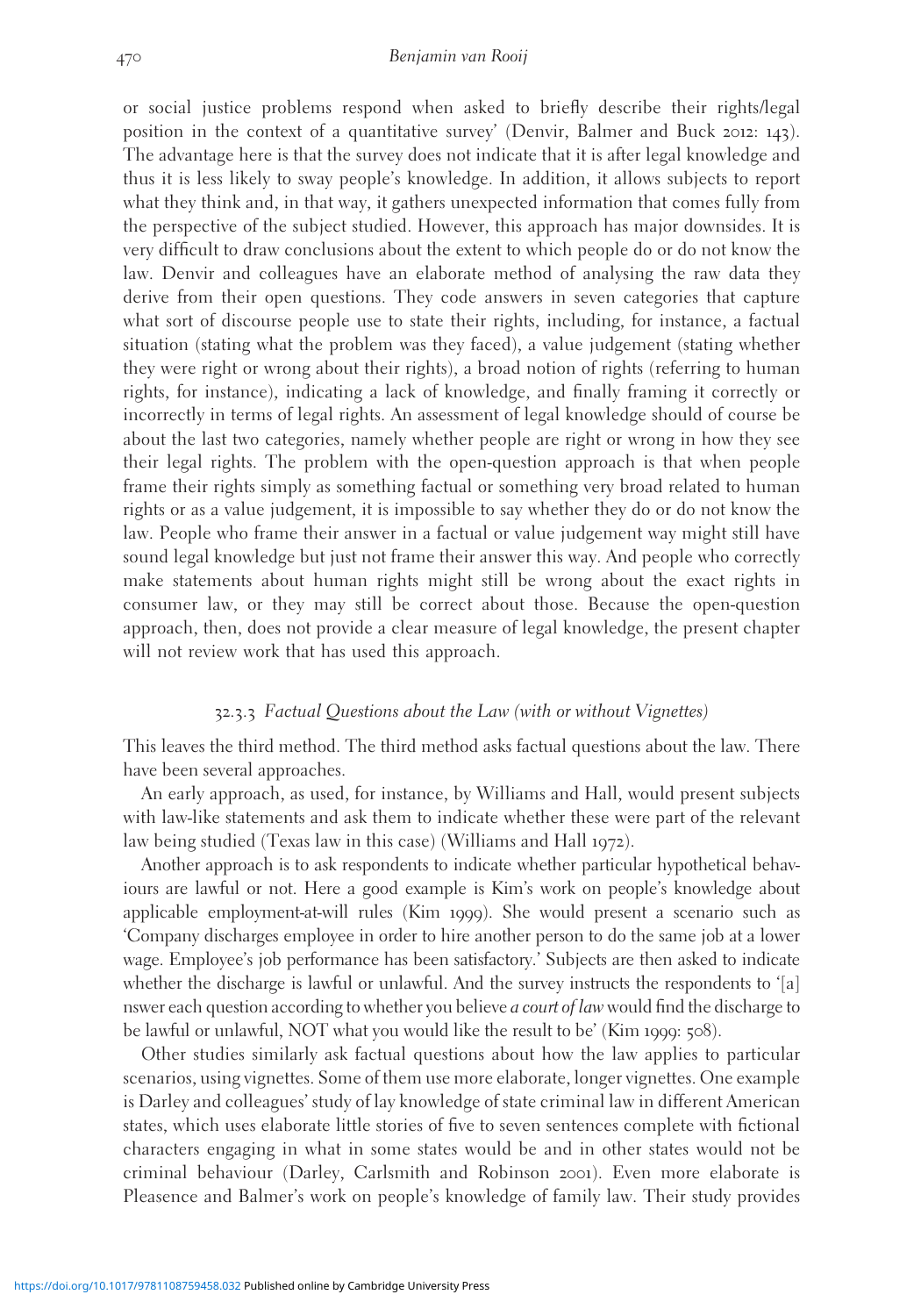or social justice problems respond when asked to briefly describe their rights/legal position in the context of a quantitative survey' (Denvir, Balmer and Buck 2012: 143). The advantage here is that the survey does not indicate that it is after legal knowledge and thus it is less likely to sway people's knowledge. In addition, it allows subjects to report what they think and, in that way, it gathers unexpected information that comes fully from the perspective of the subject studied. However, this approach has major downsides. It is very difficult to draw conclusions about the extent to which people do or do not know the law. Denvir and colleagues have an elaborate method of analysing the raw data they derive from their open questions. They code answers in seven categories that capture what sort of discourse people use to state their rights, including, for instance, a factual situation (stating what the problem was they faced), a value judgement (stating whether they were right or wrong about their rights), a broad notion of rights (referring to human rights, for instance), indicating a lack of knowledge, and finally framing it correctly or incorrectly in terms of legal rights. An assessment of legal knowledge should of course be about the last two categories, namely whether people are right or wrong in how they see their legal rights. The problem with the open-question approach is that when people frame their rights simply as something factual or something very broad related to human rights or as a value judgement, it is impossible to say whether they do or do not know the law. People who frame their answer in a factual or value judgement way might still have sound legal knowledge but just not frame their answer this way. And people who correctly make statements about human rights might still be wrong about the exact rights in consumer law, or they may still be correct about those. Because the open-question approach, then, does not provide a clear measure of legal knowledge, the present chapter will not review work that has used this approach.

#### 32.3.3 Factual Questions about the Law (with or without Vignettes)

This leaves the third method. The third method asks factual questions about the law. There have been several approaches.

An early approach, as used, for instance, by Williams and Hall, would present subjects with law-like statements and ask them to indicate whether these were part of the relevant law being studied (Texas law in this case) (Williams and Hall 1972).

Another approach is to ask respondents to indicate whether particular hypothetical behaviours are lawful or not. Here a good example is Kim's work on people's knowledge about applicable employment-at-will rules (Kim 1999). She would present a scenario such as 'Company discharges employee in order to hire another person to do the same job at a lower wage. Employee's job performance has been satisfactory.' Subjects are then asked to indicate whether the discharge is lawful or unlawful. And the survey instructs the respondents to '[a] nswer each question according to whether you believe *a court of law* would find the discharge to be lawful or unlawful, NOT what you would like the result to be' (Kim 1999: 508).

Other studies similarly ask factual questions about how the law applies to particular scenarios, using vignettes. Some of them use more elaborate, longer vignettes. One example is Darley and colleagues' study of lay knowledge of state criminal law in different American states, which uses elaborate little stories of five to seven sentences complete with fictional characters engaging in what in some states would be and in other states would not be criminal behaviour (Darley, Carlsmith and Robinson 2001). Even more elaborate is Pleasence and Balmer's work on people's knowledge of family law. Their study provides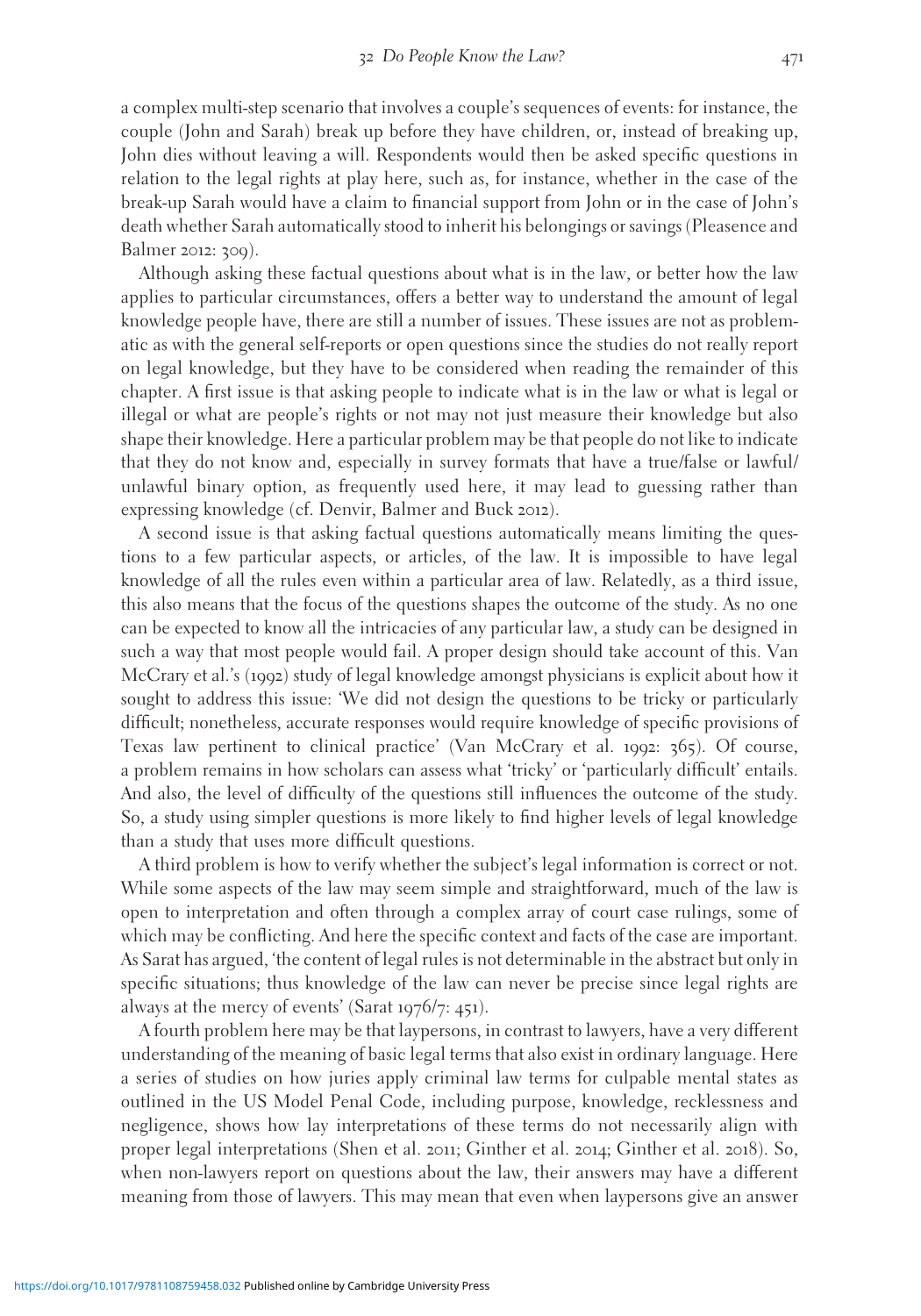a complex multi-step scenario that involves a couple's sequences of events: for instance, the couple (John and Sarah) break up before they have children, or, instead of breaking up, John dies without leaving a will. Respondents would then be asked specific questions in relation to the legal rights at play here, such as, for instance, whether in the case of the break-up Sarah would have a claim to financial support from John or in the case of John's death whether Sarah automatically stood to inherit his belongings or savings (Pleasence and Balmer 2012: 309).

Although asking these factual questions about what is in the law, or better how the law applies to particular circumstances, offers a better way to understand the amount of legal knowledge people have, there are still a number of issues. These issues are not as problematic as with the general self-reports or open questions since the studies do not really report on legal knowledge, but they have to be considered when reading the remainder of this chapter. A first issue is that asking people to indicate what is in the law or what is legal or illegal or what are people's rights or not may not just measure their knowledge but also shape their knowledge. Here a particular problem may be that people do not like to indicate that they do not know and, especially in survey formats that have a true/false or lawful/ unlawful binary option, as frequently used here, it may lead to guessing rather than expressing knowledge (cf. Denvir, Balmer and Buck 2012).

A second issue is that asking factual questions automatically means limiting the questions to a few particular aspects, or articles, of the law. It is impossible to have legal knowledge of all the rules even within a particular area of law. Relatedly, as a third issue, this also means that the focus of the questions shapes the outcome of the study. As no one can be expected to know all the intricacies of any particular law, a study can be designed in such a way that most people would fail. A proper design should take account of this. Van McCrary et al.'s (1992) study of legal knowledge amongst physicians is explicit about how it sought to address this issue: 'We did not design the questions to be tricky or particularly difficult; nonetheless, accurate responses would require knowledge of specific provisions of Texas law pertinent to clinical practice' (Van McCrary et al. 1992: 365). Of course, a problem remains in how scholars can assess what 'tricky' or 'particularly difficult' entails. And also, the level of difficulty of the questions still influences the outcome of the study. So, a study using simpler questions is more likely to find higher levels of legal knowledge than a study that uses more difficult questions.

A third problem is how to verify whether the subject's legal information is correct or not. While some aspects of the law may seem simple and straightforward, much of the law is open to interpretation and often through a complex array of court case rulings, some of which may be conflicting. And here the specific context and facts of the case are important. As Sarat has argued, 'the content of legal rules is not determinable in the abstract but only in specific situations; thus knowledge of the law can never be precise since legal rights are always at the mercy of events' (Sarat 1976/7: 451).

A fourth problem here may be that laypersons, in contrast to lawyers, have a very different understanding of the meaning of basic legal terms that also exist in ordinary language. Here a series of studies on how juries apply criminal law terms for culpable mental states as outlined in the US Model Penal Code, including purpose, knowledge, recklessness and negligence, shows how lay interpretations of these terms do not necessarily align with proper legal interpretations (Shen et al. 2011; Ginther et al. 2014; Ginther et al. 2018). So, when non-lawyers report on questions about the law, their answers may have a different meaning from those of lawyers. This may mean that even when laypersons give an answer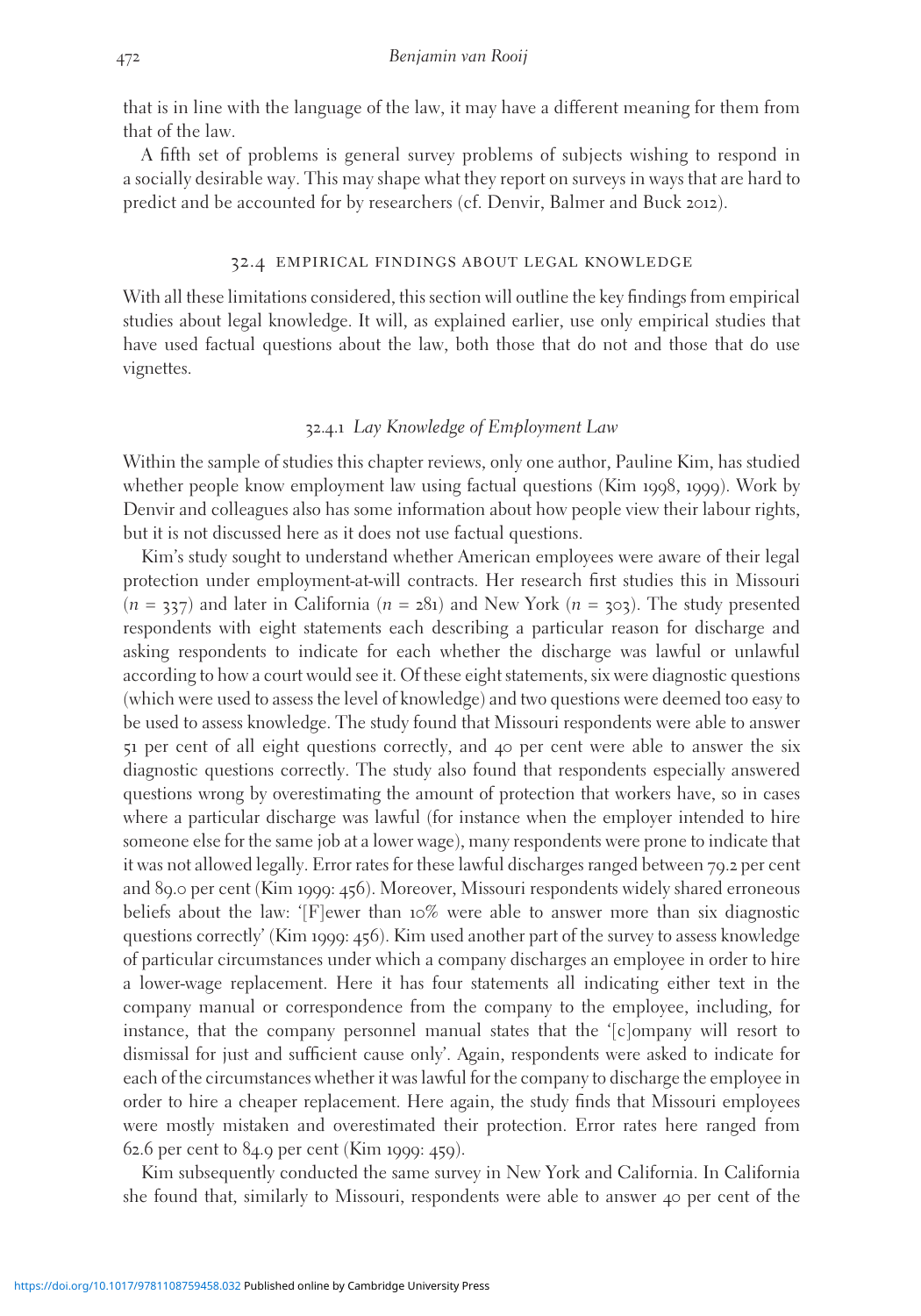that is in line with the language of the law, it may have a different meaning for them from that of the law.

A fifth set of problems is general survey problems of subjects wishing to respond in a socially desirable way. This may shape what they report on surveys in ways that are hard to predict and be accounted for by researchers (cf. Denvir, Balmer and Buck 2012).

#### 32.4 empirical findings about legal knowledge

With all these limitations considered, this section will outline the key findings from empirical studies about legal knowledge. It will, as explained earlier, use only empirical studies that have used factual questions about the law, both those that do not and those that do use vignettes.

#### 32.4.1 Lay Knowledge of Employment Law

Within the sample of studies this chapter reviews, only one author, Pauline Kim, has studied whether people know employment law using factual questions (Kim 1998, 1999). Work by Denvir and colleagues also has some information about how people view their labour rights, but it is not discussed here as it does not use factual questions.

Kim's study sought to understand whether American employees were aware of their legal protection under employment-at-will contracts. Her research first studies this in Missouri  $(n = 337)$  and later in California  $(n = 281)$  and New York  $(n = 303)$ . The study presented respondents with eight statements each describing a particular reason for discharge and asking respondents to indicate for each whether the discharge was lawful or unlawful according to how a court would see it. Of these eight statements, six were diagnostic questions (which were used to assess the level of knowledge) and two questions were deemed too easy to be used to assess knowledge. The study found that Missouri respondents were able to answer 51 per cent of all eight questions correctly, and 40 per cent were able to answer the six diagnostic questions correctly. The study also found that respondents especially answered questions wrong by overestimating the amount of protection that workers have, so in cases where a particular discharge was lawful (for instance when the employer intended to hire someone else for the same job at a lower wage), many respondents were prone to indicate that it was not allowed legally. Error rates for these lawful discharges ranged between 79.2 per cent and 89.0 per cent (Kim 1999: 456). Moreover, Missouri respondents widely shared erroneous beliefs about the law: '[F]ewer than 10% were able to answer more than six diagnostic questions correctly' (Kim 1999: 456). Kim used another part of the survey to assess knowledge of particular circumstances under which a company discharges an employee in order to hire a lower-wage replacement. Here it has four statements all indicating either text in the company manual or correspondence from the company to the employee, including, for instance, that the company personnel manual states that the '[c]ompany will resort to dismissal for just and sufficient cause only'. Again, respondents were asked to indicate for each of the circumstances whether it was lawful for the company to discharge the employee in order to hire a cheaper replacement. Here again, the study finds that Missouri employees were mostly mistaken and overestimated their protection. Error rates here ranged from 62.6 per cent to 84.9 per cent (Kim 1999: 459).

Kim subsequently conducted the same survey in New York and California. In California she found that, similarly to Missouri, respondents were able to answer 40 per cent of the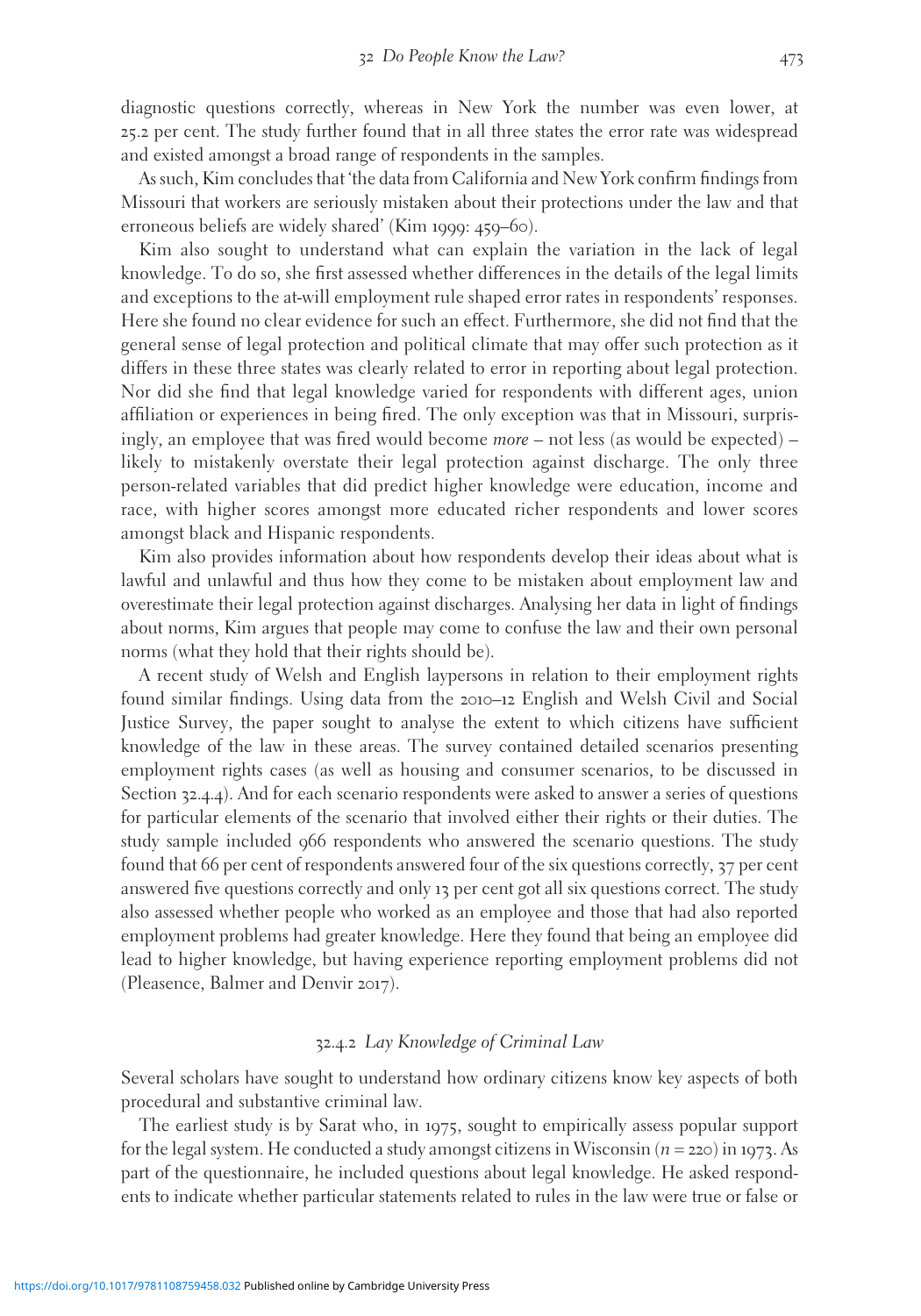diagnostic questions correctly, whereas in New York the number was even lower, at 25.2 per cent. The study further found that in all three states the error rate was widespread and existed amongst a broad range of respondents in the samples.

As such, Kim concludes that 'the data from California and New York confirm findings from Missouri that workers are seriously mistaken about their protections under the law and that erroneous beliefs are widely shared' (Kim 1999: 459–60).

Kim also sought to understand what can explain the variation in the lack of legal knowledge. To do so, she first assessed whether differences in the details of the legal limits and exceptions to the at-will employment rule shaped error rates in respondents' responses. Here she found no clear evidence for such an effect. Furthermore, she did not find that the general sense of legal protection and political climate that may offer such protection as it differs in these three states was clearly related to error in reporting about legal protection. Nor did she find that legal knowledge varied for respondents with different ages, union affiliation or experiences in being fired. The only exception was that in Missouri, surprisingly, an employee that was fired would become more – not less (as would be expected) – likely to mistakenly overstate their legal protection against discharge. The only three person-related variables that did predict higher knowledge were education, income and race, with higher scores amongst more educated richer respondents and lower scores amongst black and Hispanic respondents.

Kim also provides information about how respondents develop their ideas about what is lawful and unlawful and thus how they come to be mistaken about employment law and overestimate their legal protection against discharges. Analysing her data in light of findings about norms, Kim argues that people may come to confuse the law and their own personal norms (what they hold that their rights should be).

A recent study of Welsh and English laypersons in relation to their employment rights found similar findings. Using data from the 2010–12 English and Welsh Civil and Social Justice Survey, the paper sought to analyse the extent to which citizens have sufficient knowledge of the law in these areas. The survey contained detailed scenarios presenting employment rights cases (as well as housing and consumer scenarios, to be discussed in Section 32.4.4). And for each scenario respondents were asked to answer a series of questions for particular elements of the scenario that involved either their rights or their duties. The study sample included 966 respondents who answered the scenario questions. The study found that 66 per cent of respondents answered four of the six questions correctly, 37 per cent answered five questions correctly and only 13 per cent got all six questions correct. The study also assessed whether people who worked as an employee and those that had also reported employment problems had greater knowledge. Here they found that being an employee did lead to higher knowledge, but having experience reporting employment problems did not (Pleasence, Balmer and Denvir 2017).

#### 32.4.2 Lay Knowledge of Criminal Law

Several scholars have sought to understand how ordinary citizens know key aspects of both procedural and substantive criminal law.

The earliest study is by Sarat who, in 1975, sought to empirically assess popular support for the legal system. He conducted a study amongst citizens in Wisconsin ( $n = 220$ ) in 1973. As part of the questionnaire, he included questions about legal knowledge. He asked respondents to indicate whether particular statements related to rules in the law were true or false or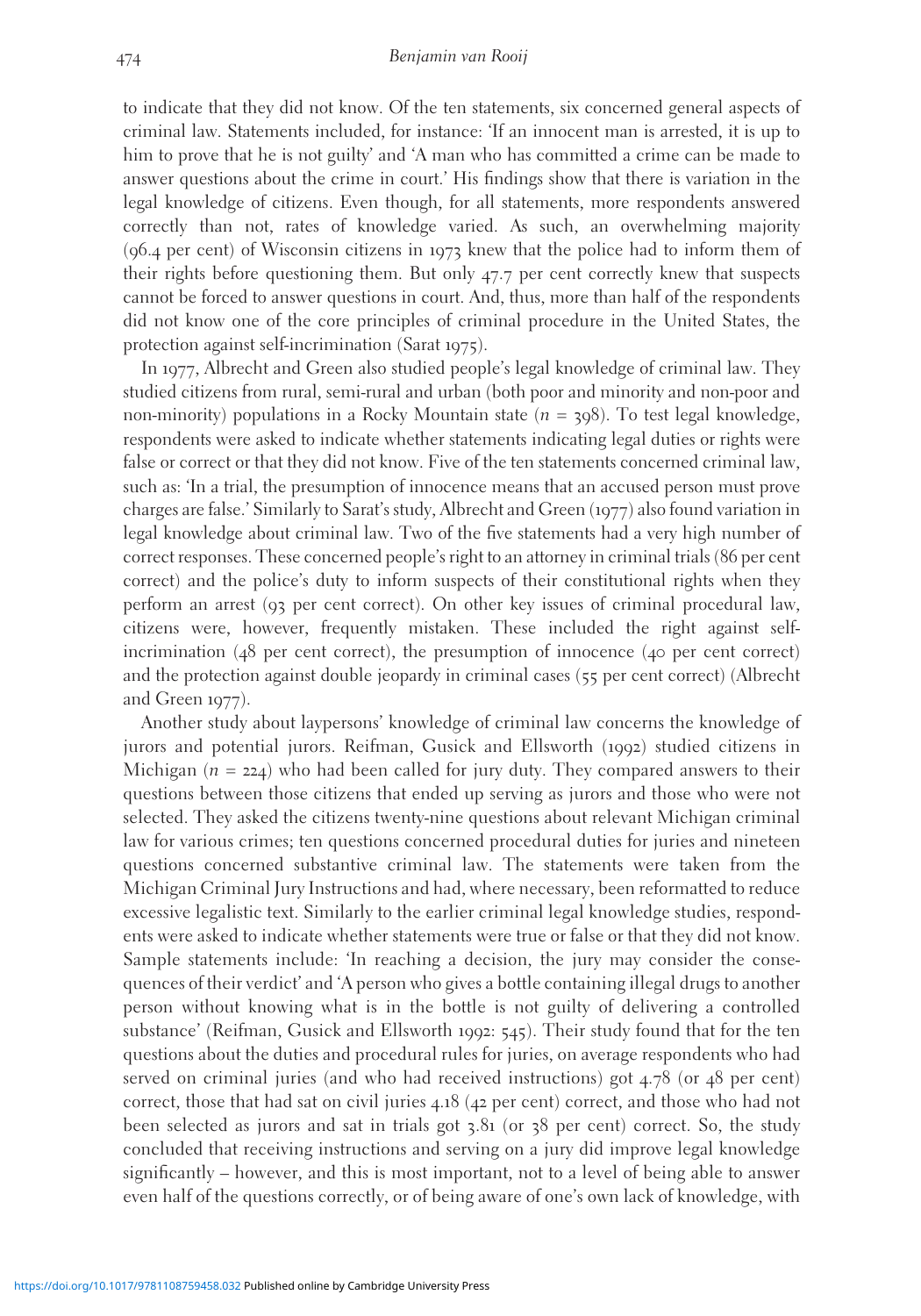to indicate that they did not know. Of the ten statements, six concerned general aspects of criminal law. Statements included, for instance: 'If an innocent man is arrested, it is up to him to prove that he is not guilty' and 'A man who has committed a crime can be made to answer questions about the crime in court.' His findings show that there is variation in the legal knowledge of citizens. Even though, for all statements, more respondents answered correctly than not, rates of knowledge varied. As such, an overwhelming majority (96.4 per cent) of Wisconsin citizens in 1973 knew that the police had to inform them of their rights before questioning them. But only 47.7 per cent correctly knew that suspects cannot be forced to answer questions in court. And, thus, more than half of the respondents did not know one of the core principles of criminal procedure in the United States, the protection against self-incrimination (Sarat 1975).

In 1977, Albrecht and Green also studied people's legal knowledge of criminal law. They studied citizens from rural, semi-rural and urban (both poor and minority and non-poor and non-minority) populations in a Rocky Mountain state ( $n = 398$ ). To test legal knowledge, respondents were asked to indicate whether statements indicating legal duties or rights were false or correct or that they did not know. Five of the ten statements concerned criminal law, such as: 'In a trial, the presumption of innocence means that an accused person must prove charges are false.' Similarly to Sarat's study, Albrecht and Green (1977) also found variation in legal knowledge about criminal law. Two of the five statements had a very high number of correct responses. These concerned people's right to an attorney in criminal trials (86 per cent correct) and the police's duty to inform suspects of their constitutional rights when they perform an arrest (93 per cent correct). On other key issues of criminal procedural law, citizens were, however, frequently mistaken. These included the right against selfincrimination (48 per cent correct), the presumption of innocence (40 per cent correct) and the protection against double jeopardy in criminal cases (55 per cent correct) (Albrecht and Green 1977).

Another study about laypersons' knowledge of criminal law concerns the knowledge of jurors and potential jurors. Reifman, Gusick and Ellsworth (1992) studied citizens in Michigan ( $n = 224$ ) who had been called for jury duty. They compared answers to their questions between those citizens that ended up serving as jurors and those who were not selected. They asked the citizens twenty-nine questions about relevant Michigan criminal law for various crimes; ten questions concerned procedural duties for juries and nineteen questions concerned substantive criminal law. The statements were taken from the Michigan Criminal Jury Instructions and had, where necessary, been reformatted to reduce excessive legalistic text. Similarly to the earlier criminal legal knowledge studies, respondents were asked to indicate whether statements were true or false or that they did not know. Sample statements include: 'In reaching a decision, the jury may consider the consequences of their verdict' and 'A person who gives a bottle containing illegal drugs to another person without knowing what is in the bottle is not guilty of delivering a controlled substance' (Reifman, Gusick and Ellsworth 1992: 545). Their study found that for the ten questions about the duties and procedural rules for juries, on average respondents who had served on criminal juries (and who had received instructions) got 4.78 (or 48 per cent) correct, those that had sat on civil juries 4.18 (42 per cent) correct, and those who had not been selected as jurors and sat in trials got 3.81 (or 38 per cent) correct. So, the study concluded that receiving instructions and serving on a jury did improve legal knowledge significantly – however, and this is most important, not to a level of being able to answer even half of the questions correctly, or of being aware of one's own lack of knowledge, with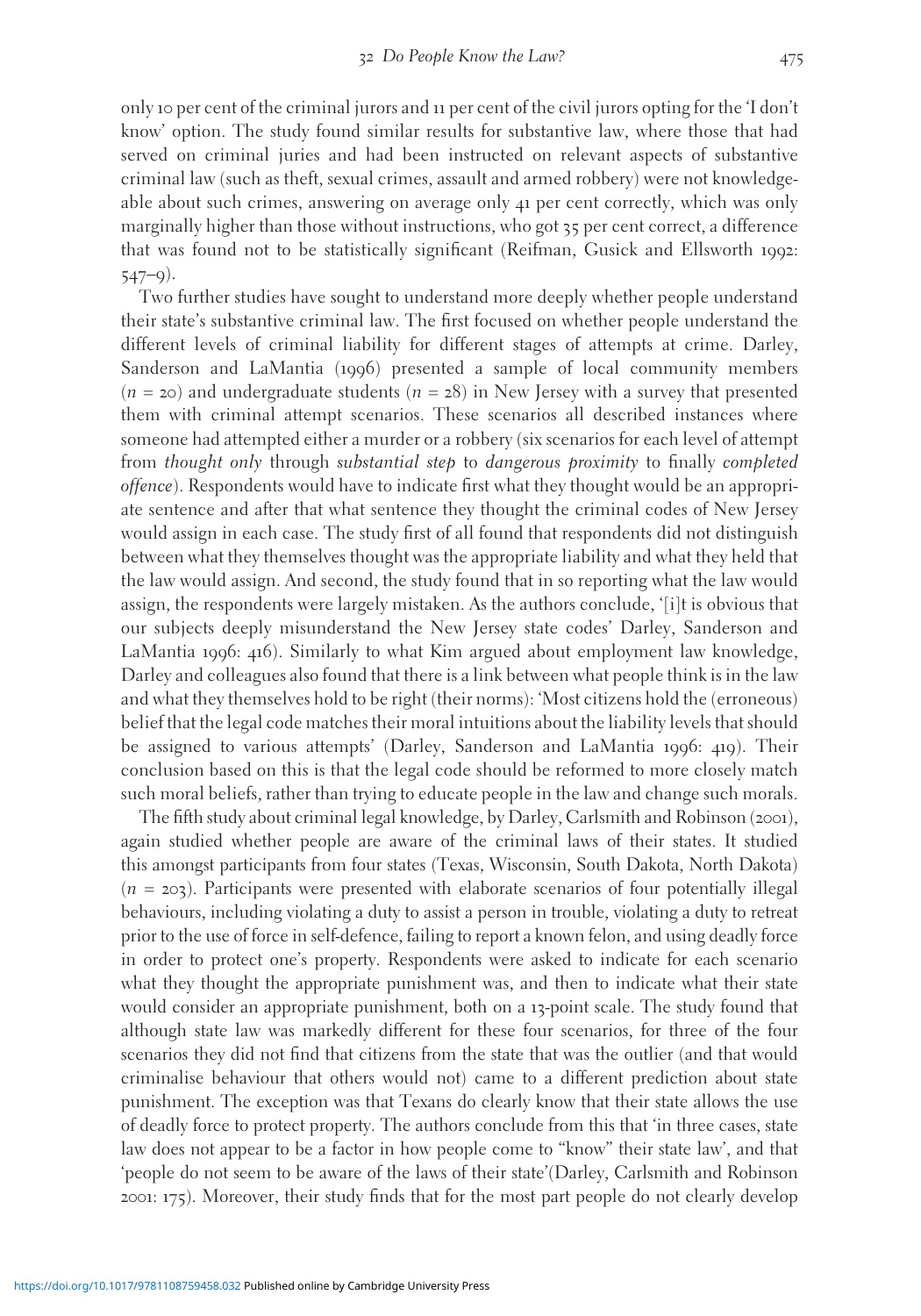only 10 per cent of the criminal jurors and 11 per cent of the civil jurors opting for the 'I don't know' option. The study found similar results for substantive law, where those that had served on criminal juries and had been instructed on relevant aspects of substantive criminal law (such as theft, sexual crimes, assault and armed robbery) were not knowledgeable about such crimes, answering on average only 41 per cent correctly, which was only marginally higher than those without instructions, who got 35 per cent correct, a difference that was found not to be statistically significant (Reifman, Gusick and Ellsworth 1992: 547–9).

Two further studies have sought to understand more deeply whether people understand their state's substantive criminal law. The first focused on whether people understand the different levels of criminal liability for different stages of attempts at crime. Darley, Sanderson and LaMantia (1996) presented a sample of local community members  $(n = 20)$  and undergraduate students  $(n = 28)$  in New Jersey with a survey that presented them with criminal attempt scenarios. These scenarios all described instances where someone had attempted either a murder or a robbery (six scenarios for each level of attempt from thought only through substantial step to dangerous proximity to finally completed offence). Respondents would have to indicate first what they thought would be an appropriate sentence and after that what sentence they thought the criminal codes of New Jersey would assign in each case. The study first of all found that respondents did not distinguish between what they themselves thought was the appropriate liability and what they held that the law would assign. And second, the study found that in so reporting what the law would assign, the respondents were largely mistaken. As the authors conclude, '[i]t is obvious that our subjects deeply misunderstand the New Jersey state codes' Darley, Sanderson and LaMantia 1996: 416). Similarly to what Kim argued about employment law knowledge, Darley and colleagues also found that there is a link between what people think is in the law and what they themselves hold to be right (their norms): 'Most citizens hold the (erroneous) belief that the legal code matches their moral intuitions about the liability levels that should be assigned to various attempts' (Darley, Sanderson and LaMantia 1996: 419). Their conclusion based on this is that the legal code should be reformed to more closely match such moral beliefs, rather than trying to educate people in the law and change such morals.

The fifth study about criminal legal knowledge, by Darley, Carlsmith and Robinson (2001), again studied whether people are aware of the criminal laws of their states. It studied this amongst participants from four states (Texas, Wisconsin, South Dakota, North Dakota)  $(n = 203)$ . Participants were presented with elaborate scenarios of four potentially illegal behaviours, including violating a duty to assist a person in trouble, violating a duty to retreat prior to the use of force in self-defence, failing to report a known felon, and using deadly force in order to protect one's property. Respondents were asked to indicate for each scenario what they thought the appropriate punishment was, and then to indicate what their state would consider an appropriate punishment, both on a 13-point scale. The study found that although state law was markedly different for these four scenarios, for three of the four scenarios they did not find that citizens from the state that was the outlier (and that would criminalise behaviour that others would not) came to a different prediction about state punishment. The exception was that Texans do clearly know that their state allows the use of deadly force to protect property. The authors conclude from this that 'in three cases, state law does not appear to be a factor in how people come to "know" their state law', and that 'people do not seem to be aware of the laws of their state'(Darley, Carlsmith and Robinson 2001: 175). Moreover, their study finds that for the most part people do not clearly develop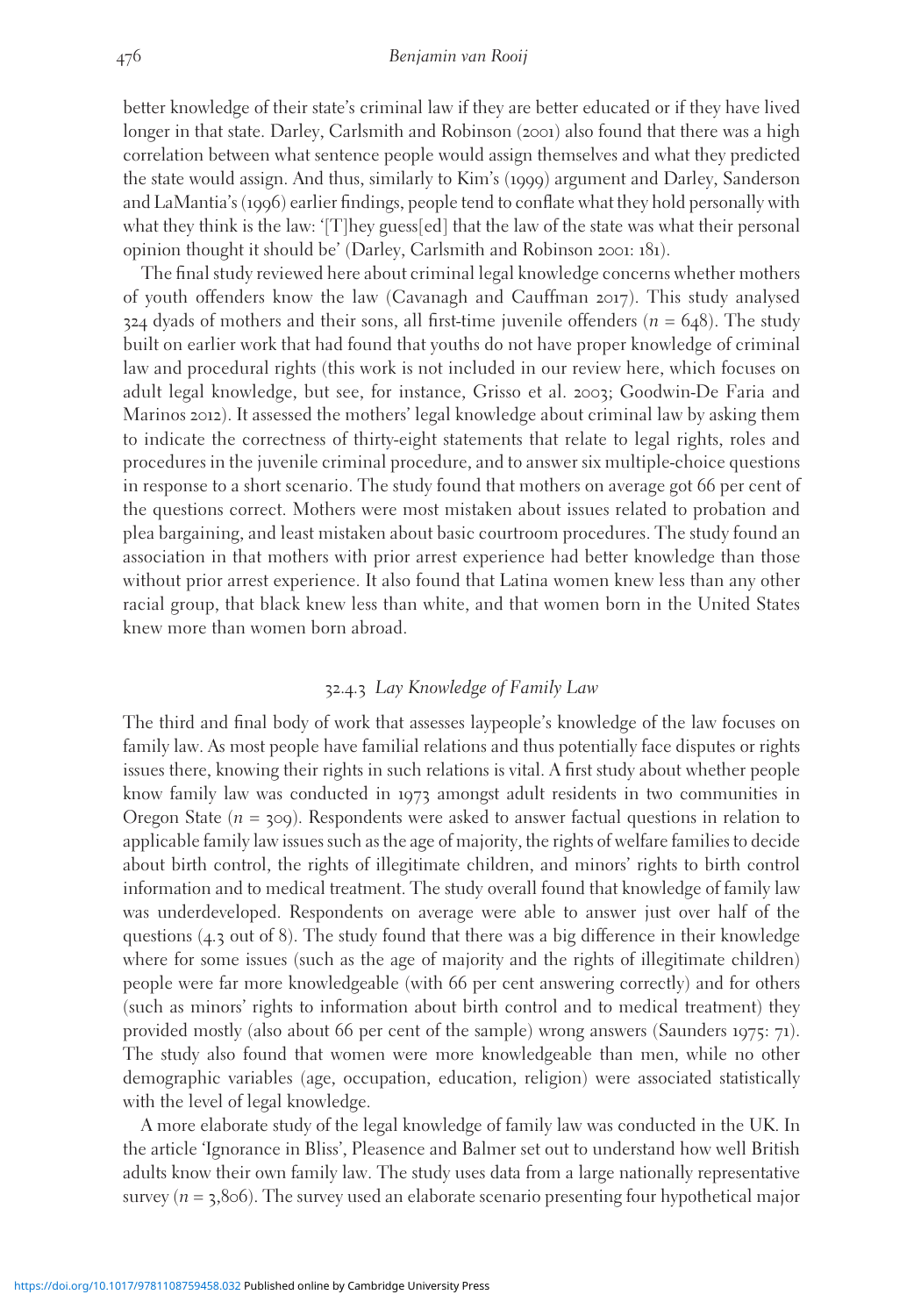better knowledge of their state's criminal law if they are better educated or if they have lived longer in that state. Darley, Carlsmith and Robinson (2001) also found that there was a high correlation between what sentence people would assign themselves and what they predicted the state would assign. And thus, similarly to Kim's (1999) argument and Darley, Sanderson and LaMantia's (1996) earlier findings, people tend to conflate what they hold personally with what they think is the law: '[T]hey guess[ed] that the law of the state was what their personal opinion thought it should be' (Darley, Carlsmith and Robinson 2001: 181).

The final study reviewed here about criminal legal knowledge concerns whether mothers of youth offenders know the law (Cavanagh and Cauffman 2017). This study analysed  $324$  dyads of mothers and their sons, all first-time juvenile offenders ( $n = 648$ ). The study built on earlier work that had found that youths do not have proper knowledge of criminal law and procedural rights (this work is not included in our review here, which focuses on adult legal knowledge, but see, for instance, Grisso et al. 2003; Goodwin-De Faria and Marinos 2012). It assessed the mothers' legal knowledge about criminal law by asking them to indicate the correctness of thirty-eight statements that relate to legal rights, roles and procedures in the juvenile criminal procedure, and to answer six multiple-choice questions in response to a short scenario. The study found that mothers on average got 66 per cent of the questions correct. Mothers were most mistaken about issues related to probation and plea bargaining, and least mistaken about basic courtroom procedures. The study found an association in that mothers with prior arrest experience had better knowledge than those without prior arrest experience. It also found that Latina women knew less than any other racial group, that black knew less than white, and that women born in the United States knew more than women born abroad.

#### 32.4.3 Lay Knowledge of Family Law

The third and final body of work that assesses laypeople's knowledge of the law focuses on family law. As most people have familial relations and thus potentially face disputes or rights issues there, knowing their rights in such relations is vital. A first study about whether people know family law was conducted in 1973 amongst adult residents in two communities in Oregon State ( $n = 30$ ). Respondents were asked to answer factual questions in relation to applicable family law issues such as the age of majority, the rights of welfare families to decide about birth control, the rights of illegitimate children, and minors' rights to birth control information and to medical treatment. The study overall found that knowledge of family law was underdeveloped. Respondents on average were able to answer just over half of the questions (4.3 out of 8). The study found that there was a big difference in their knowledge where for some issues (such as the age of majority and the rights of illegitimate children) people were far more knowledgeable (with 66 per cent answering correctly) and for others (such as minors' rights to information about birth control and to medical treatment) they provided mostly (also about 66 per cent of the sample) wrong answers (Saunders 1975: 71). The study also found that women were more knowledgeable than men, while no other demographic variables (age, occupation, education, religion) were associated statistically with the level of legal knowledge.

A more elaborate study of the legal knowledge of family law was conducted in the UK. In the article 'Ignorance in Bliss', Pleasence and Balmer set out to understand how well British adults know their own family law. The study uses data from a large nationally representative survey ( $n = 3,806$ ). The survey used an elaborate scenario presenting four hypothetical major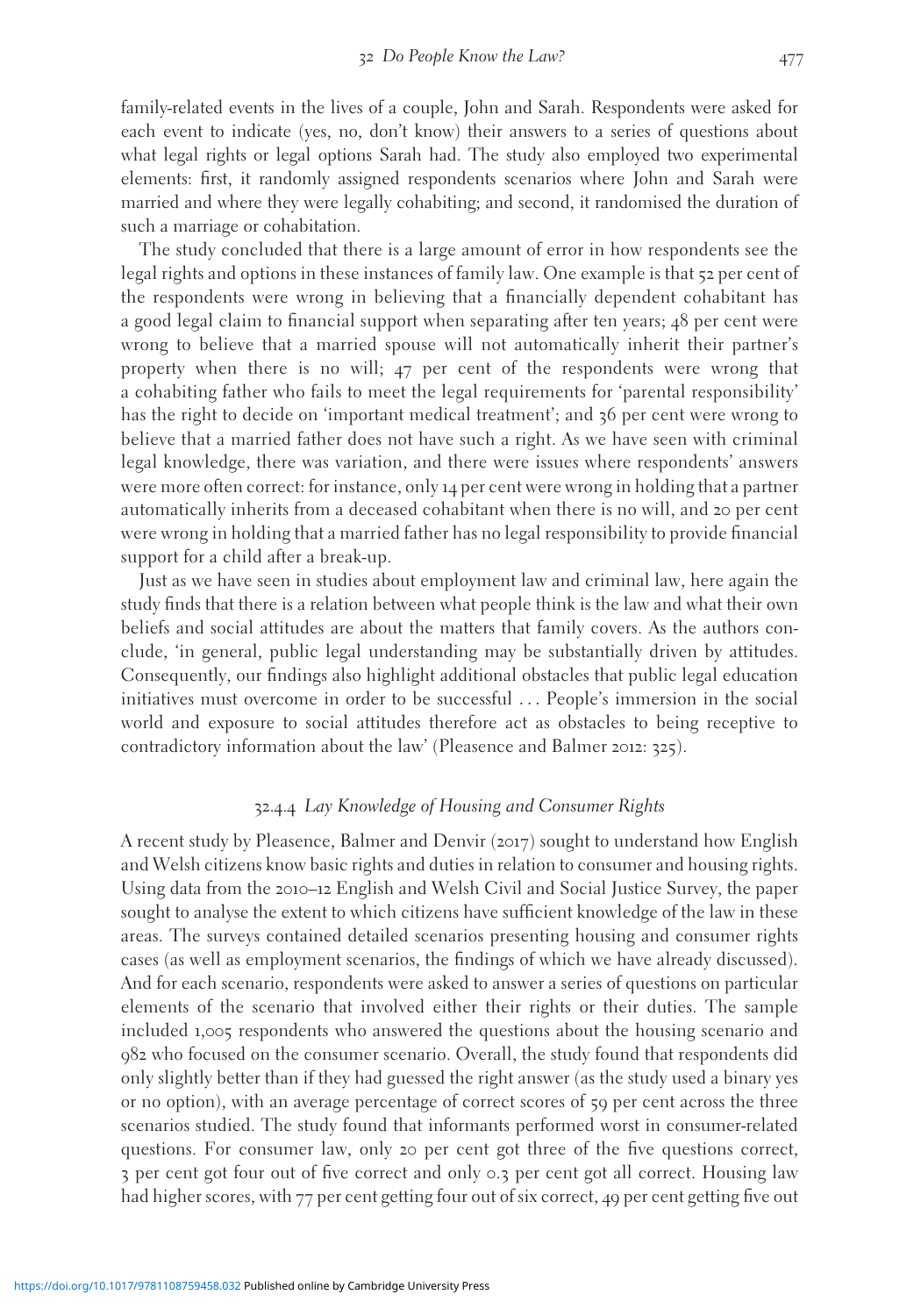family-related events in the lives of a couple, John and Sarah. Respondents were asked for each event to indicate (yes, no, don't know) their answers to a series of questions about what legal rights or legal options Sarah had. The study also employed two experimental elements: first, it randomly assigned respondents scenarios where John and Sarah were married and where they were legally cohabiting; and second, it randomised the duration of such a marriage or cohabitation.

The study concluded that there is a large amount of error in how respondents see the legal rights and options in these instances of family law. One example is that 52 per cent of the respondents were wrong in believing that a financially dependent cohabitant has a good legal claim to financial support when separating after ten years; 48 per cent were wrong to believe that a married spouse will not automatically inherit their partner's property when there is no will; 47 per cent of the respondents were wrong that a cohabiting father who fails to meet the legal requirements for 'parental responsibility' has the right to decide on 'important medical treatment'; and 36 per cent were wrong to believe that a married father does not have such a right. As we have seen with criminal legal knowledge, there was variation, and there were issues where respondents' answers were more often correct: for instance, only 14 per cent were wrong in holding that a partner automatically inherits from a deceased cohabitant when there is no will, and 20 per cent were wrong in holding that a married father has no legal responsibility to provide financial support for a child after a break-up.

Just as we have seen in studies about employment law and criminal law, here again the study finds that there is a relation between what people think is the law and what their own beliefs and social attitudes are about the matters that family covers. As the authors conclude, 'in general, public legal understanding may be substantially driven by attitudes. Consequently, our findings also highlight additional obstacles that public legal education initiatives must overcome in order to be successful ... People's immersion in the social world and exposure to social attitudes therefore act as obstacles to being receptive to contradictory information about the law' (Pleasence and Balmer 2012: 325).

#### 32.4.4 Lay Knowledge of Housing and Consumer Rights

A recent study by Pleasence, Balmer and Denvir (2017) sought to understand how English and Welsh citizens know basic rights and duties in relation to consumer and housing rights. Using data from the 2010–12 English and Welsh Civil and Social Justice Survey, the paper sought to analyse the extent to which citizens have sufficient knowledge of the law in these areas. The surveys contained detailed scenarios presenting housing and consumer rights cases (as well as employment scenarios, the findings of which we have already discussed). And for each scenario, respondents were asked to answer a series of questions on particular elements of the scenario that involved either their rights or their duties. The sample included 1,005 respondents who answered the questions about the housing scenario and 982 who focused on the consumer scenario. Overall, the study found that respondents did only slightly better than if they had guessed the right answer (as the study used a binary yes or no option), with an average percentage of correct scores of 59 per cent across the three scenarios studied. The study found that informants performed worst in consumer-related questions. For consumer law, only 20 per cent got three of the five questions correct, 3 per cent got four out of five correct and only 0.3 per cent got all correct. Housing law had higher scores, with 77 per cent getting four out of six correct, 49 per cent getting five out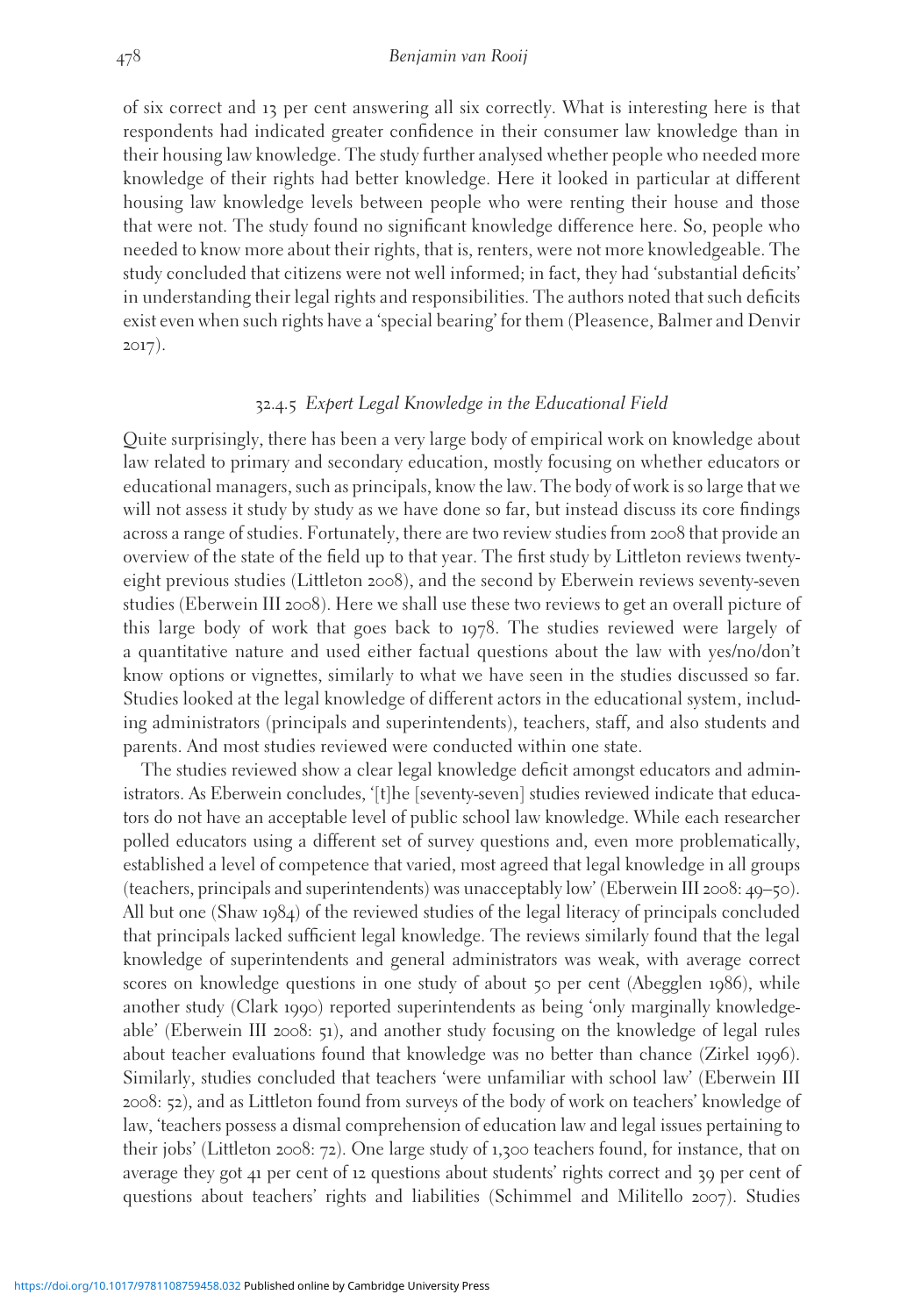of six correct and 13 per cent answering all six correctly. What is interesting here is that respondents had indicated greater confidence in their consumer law knowledge than in their housing law knowledge. The study further analysed whether people who needed more knowledge of their rights had better knowledge. Here it looked in particular at different housing law knowledge levels between people who were renting their house and those that were not. The study found no significant knowledge difference here. So, people who needed to know more about their rights, that is, renters, were not more knowledgeable. The study concluded that citizens were not well informed; in fact, they had 'substantial deficits' in understanding their legal rights and responsibilities. The authors noted that such deficits exist even when such rights have a 'special bearing' for them (Pleasence, Balmer and Denvir 2017).

#### 32.4.5 Expert Legal Knowledge in the Educational Field

Quite surprisingly, there has been a very large body of empirical work on knowledge about law related to primary and secondary education, mostly focusing on whether educators or educational managers, such as principals, know the law. The body of work is so large that we will not assess it study by study as we have done so far, but instead discuss its core findings across a range of studies. Fortunately, there are two review studies from 2008 that provide an overview of the state of the field up to that year. The first study by Littleton reviews twentyeight previous studies (Littleton 2008), and the second by Eberwein reviews seventy-seven studies (Eberwein III 2008). Here we shall use these two reviews to get an overall picture of this large body of work that goes back to 1978. The studies reviewed were largely of a quantitative nature and used either factual questions about the law with yes/no/don't know options or vignettes, similarly to what we have seen in the studies discussed so far. Studies looked at the legal knowledge of different actors in the educational system, including administrators (principals and superintendents), teachers, staff, and also students and parents. And most studies reviewed were conducted within one state.

The studies reviewed show a clear legal knowledge deficit amongst educators and administrators. As Eberwein concludes, '[t]he [seventy-seven] studies reviewed indicate that educators do not have an acceptable level of public school law knowledge. While each researcher polled educators using a different set of survey questions and, even more problematically, established a level of competence that varied, most agreed that legal knowledge in all groups (teachers, principals and superintendents) was unacceptably low' (Eberwein III 2008: 49–50). All but one (Shaw 1984) of the reviewed studies of the legal literacy of principals concluded that principals lacked sufficient legal knowledge. The reviews similarly found that the legal knowledge of superintendents and general administrators was weak, with average correct scores on knowledge questions in one study of about 50 per cent (Abegglen 1986), while another study (Clark 1990) reported superintendents as being 'only marginally knowledgeable' (Eberwein III 2008: 51), and another study focusing on the knowledge of legal rules about teacher evaluations found that knowledge was no better than chance (Zirkel 1996). Similarly, studies concluded that teachers 'were unfamiliar with school law' (Eberwein III 2008: 52), and as Littleton found from surveys of the body of work on teachers' knowledge of law, 'teachers possess a dismal comprehension of education law and legal issues pertaining to their jobs' (Littleton 2008: 72). One large study of 1,300 teachers found, for instance, that on average they got 41 per cent of 12 questions about students' rights correct and 39 per cent of questions about teachers' rights and liabilities (Schimmel and Militello 2007). Studies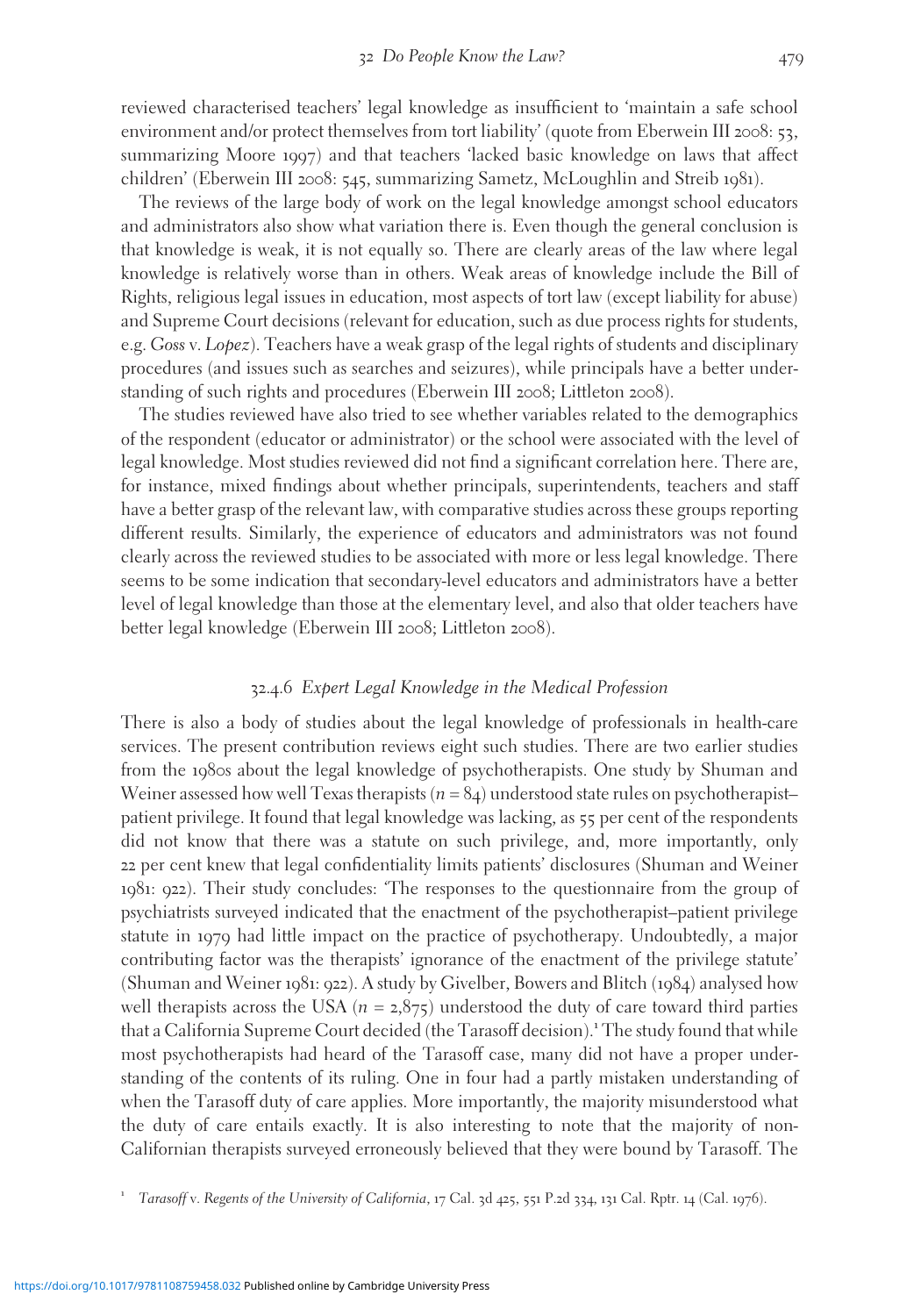reviewed characterised teachers' legal knowledge as insufficient to 'maintain a safe school environment and/or protect themselves from tort liability' (quote from Eberwein III 2008: 53, summarizing Moore 1997) and that teachers 'lacked basic knowledge on laws that affect children' (Eberwein III 2008: 545, summarizing Sametz, McLoughlin and Streib 1981).

The reviews of the large body of work on the legal knowledge amongst school educators and administrators also show what variation there is. Even though the general conclusion is that knowledge is weak, it is not equally so. There are clearly areas of the law where legal knowledge is relatively worse than in others. Weak areas of knowledge include the Bill of Rights, religious legal issues in education, most aspects of tort law (except liability for abuse) and Supreme Court decisions (relevant for education, such as due process rights for students, e.g. Goss v. Lopez). Teachers have a weak grasp of the legal rights of students and disciplinary procedures (and issues such as searches and seizures), while principals have a better understanding of such rights and procedures (Eberwein III 2008; Littleton 2008).

The studies reviewed have also tried to see whether variables related to the demographics of the respondent (educator or administrator) or the school were associated with the level of legal knowledge. Most studies reviewed did not find a significant correlation here. There are, for instance, mixed findings about whether principals, superintendents, teachers and staff have a better grasp of the relevant law, with comparative studies across these groups reporting different results. Similarly, the experience of educators and administrators was not found clearly across the reviewed studies to be associated with more or less legal knowledge. There seems to be some indication that secondary-level educators and administrators have a better level of legal knowledge than those at the elementary level, and also that older teachers have better legal knowledge (Eberwein III 2008; Littleton 2008).

#### 32.4.6 Expert Legal Knowledge in the Medical Profession

There is also a body of studies about the legal knowledge of professionals in health-care services. The present contribution reviews eight such studies. There are two earlier studies from the 1980s about the legal knowledge of psychotherapists. One study by Shuman and Weiner assessed how well Texas therapists  $(n = 84)$  understood state rules on psychotherapist– patient privilege. It found that legal knowledge was lacking, as 55 per cent of the respondents did not know that there was a statute on such privilege, and, more importantly, only 22 per cent knew that legal confidentiality limits patients' disclosures (Shuman and Weiner 1981: 922). Their study concludes: 'The responses to the questionnaire from the group of psychiatrists surveyed indicated that the enactment of the psychotherapist–patient privilege statute in 1979 had little impact on the practice of psychotherapy. Undoubtedly, a major contributing factor was the therapists' ignorance of the enactment of the privilege statute' (Shuman and Weiner 1981: 922). A study by Givelber, Bowers and Blitch (1984) analysed how well therapists across the USA ( $n = 2.875$ ) understood the duty of care toward third parties that a California Supreme Court decided (the Tarasoff decision).<sup>1</sup> The study found that while most psychotherapists had heard of the Tarasoff case, many did not have a proper understanding of the contents of its ruling. One in four had a partly mistaken understanding of when the Tarasoff duty of care applies. More importantly, the majority misunderstood what the duty of care entails exactly. It is also interesting to note that the majority of non-Californian therapists surveyed erroneously believed that they were bound by Tarasoff. The

<sup>1</sup> Tarasoff v. Regents of the University of California, <sup>17</sup> Cal. <sup>3</sup><sup>d</sup> <sup>425</sup>, <sup>551</sup> P.2<sup>d</sup> <sup>334</sup>, <sup>131</sup> Cal. Rptr. <sup>14</sup> (Cal. <sup>1976</sup>).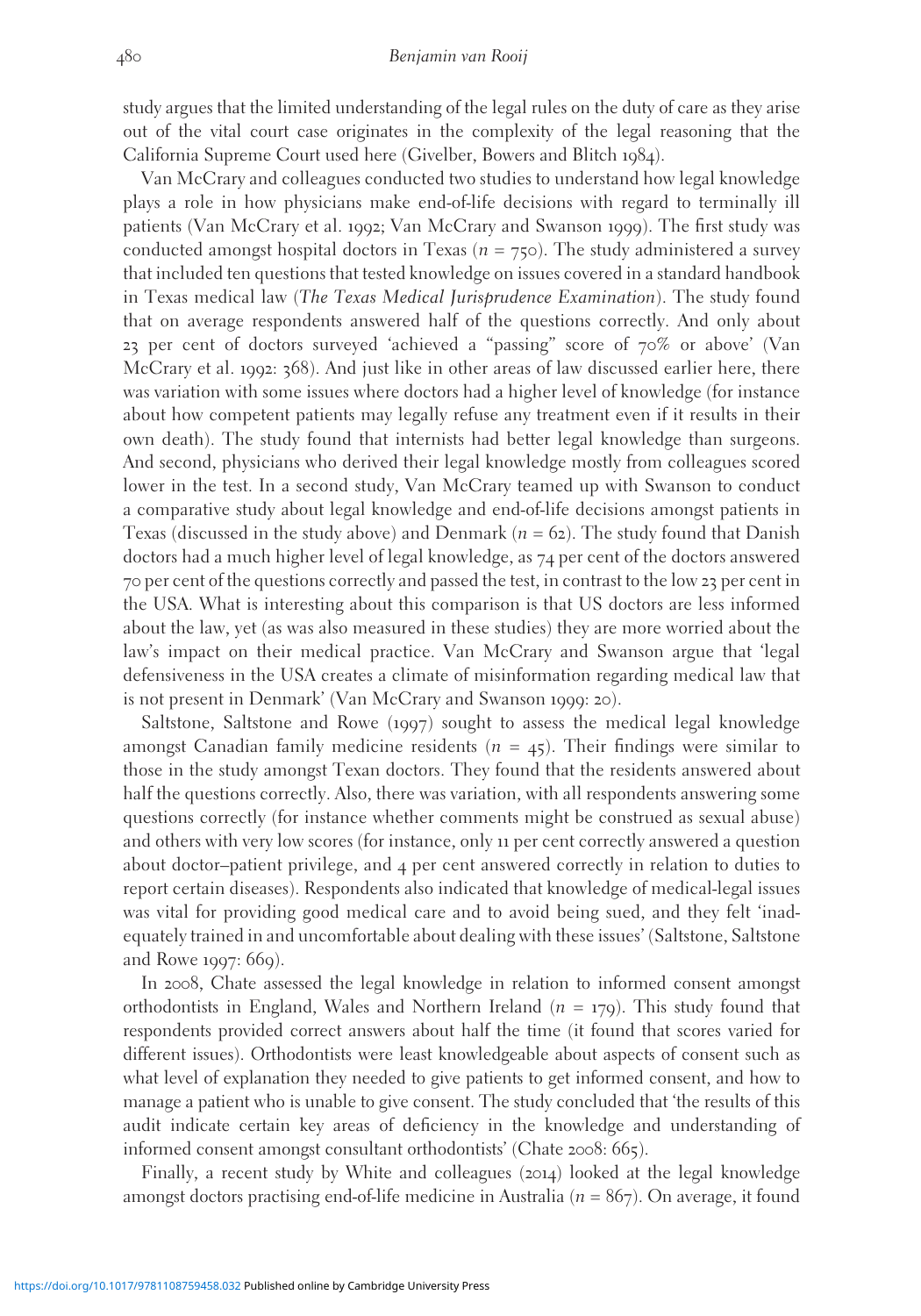study argues that the limited understanding of the legal rules on the duty of care as they arise out of the vital court case originates in the complexity of the legal reasoning that the California Supreme Court used here (Givelber, Bowers and Blitch 1984).

Van McCrary and colleagues conducted two studies to understand how legal knowledge plays a role in how physicians make end-of-life decisions with regard to terminally ill patients (Van McCrary et al. 1992; Van McCrary and Swanson 1999). The first study was conducted amongst hospital doctors in Texas ( $n = 75$ ). The study administered a survey that included ten questions that tested knowledge on issues covered in a standard handbook in Texas medical law (The Texas Medical Jurisprudence Examination). The study found that on average respondents answered half of the questions correctly. And only about 23 per cent of doctors surveyed 'achieved a "passing" score of 70% or above' (Van McCrary et al. 1992: 368). And just like in other areas of law discussed earlier here, there was variation with some issues where doctors had a higher level of knowledge (for instance about how competent patients may legally refuse any treatment even if it results in their own death). The study found that internists had better legal knowledge than surgeons. And second, physicians who derived their legal knowledge mostly from colleagues scored lower in the test. In a second study, Van McCrary teamed up with Swanson to conduct a comparative study about legal knowledge and end-of-life decisions amongst patients in Texas (discussed in the study above) and Denmark ( $n = 62$ ). The study found that Danish doctors had a much higher level of legal knowledge, as 74 per cent of the doctors answered 70 per cent of the questions correctly and passed the test, in contrast to the low 23 per cent in the USA. What is interesting about this comparison is that US doctors are less informed about the law, yet (as was also measured in these studies) they are more worried about the law's impact on their medical practice. Van McCrary and Swanson argue that 'legal defensiveness in the USA creates a climate of misinformation regarding medical law that is not present in Denmark' (Van McCrary and Swanson 1999: 20).

Saltstone, Saltstone and Rowe (1997) sought to assess the medical legal knowledge amongst Canadian family medicine residents  $(n = 45)$ . Their findings were similar to those in the study amongst Texan doctors. They found that the residents answered about half the questions correctly. Also, there was variation, with all respondents answering some questions correctly (for instance whether comments might be construed as sexual abuse) and others with very low scores (for instance, only 11 per cent correctly answered a question about doctor–patient privilege, and 4 per cent answered correctly in relation to duties to report certain diseases). Respondents also indicated that knowledge of medical-legal issues was vital for providing good medical care and to avoid being sued, and they felt 'inadequately trained in and uncomfortable about dealing with these issues' (Saltstone, Saltstone and Rowe 1997: 669).

In 2008, Chate assessed the legal knowledge in relation to informed consent amongst orthodontists in England, Wales and Northern Ireland  $(n = 179)$ . This study found that respondents provided correct answers about half the time (it found that scores varied for different issues). Orthodontists were least knowledgeable about aspects of consent such as what level of explanation they needed to give patients to get informed consent, and how to manage a patient who is unable to give consent. The study concluded that 'the results of this audit indicate certain key areas of deficiency in the knowledge and understanding of informed consent amongst consultant orthodontists' (Chate 2008: 665).

Finally, a recent study by White and colleagues (2014) looked at the legal knowledge amongst doctors practising end-of-life medicine in Australia ( $n = 867$ ). On average, it found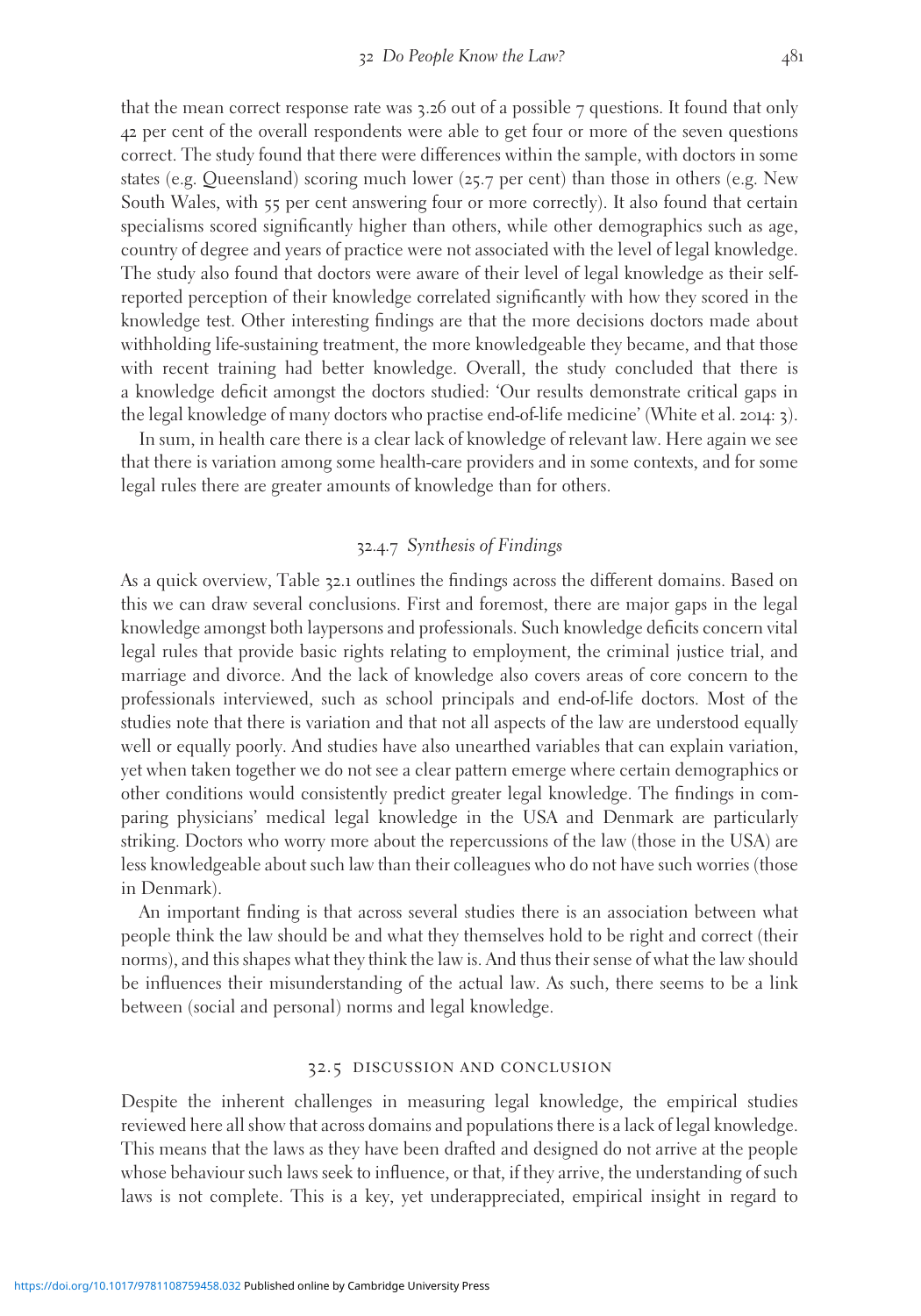that the mean correct response rate was  $3.26$  out of a possible 7 questions. It found that only 42 per cent of the overall respondents were able to get four or more of the seven questions correct. The study found that there were differences within the sample, with doctors in some states (e.g. Queensland) scoring much lower (25.7 per cent) than those in others (e.g. New South Wales, with 55 per cent answering four or more correctly). It also found that certain specialisms scored significantly higher than others, while other demographics such as age, country of degree and years of practice were not associated with the level of legal knowledge. The study also found that doctors were aware of their level of legal knowledge as their selfreported perception of their knowledge correlated significantly with how they scored in the knowledge test. Other interesting findings are that the more decisions doctors made about withholding life-sustaining treatment, the more knowledgeable they became, and that those with recent training had better knowledge. Overall, the study concluded that there is a knowledge deficit amongst the doctors studied: 'Our results demonstrate critical gaps in the legal knowledge of many doctors who practise end-of-life medicine' (White et al. 2014: 3).

In sum, in health care there is a clear lack of knowledge of relevant law. Here again we see that there is variation among some health-care providers and in some contexts, and for some legal rules there are greater amounts of knowledge than for others.

#### 32.4.7 Synthesis of Findings

As a quick overview, Table 32.1 outlines the findings across the different domains. Based on this we can draw several conclusions. First and foremost, there are major gaps in the legal knowledge amongst both laypersons and professionals. Such knowledge deficits concern vital legal rules that provide basic rights relating to employment, the criminal justice trial, and marriage and divorce. And the lack of knowledge also covers areas of core concern to the professionals interviewed, such as school principals and end-of-life doctors. Most of the studies note that there is variation and that not all aspects of the law are understood equally well or equally poorly. And studies have also unearthed variables that can explain variation, yet when taken together we do not see a clear pattern emerge where certain demographics or other conditions would consistently predict greater legal knowledge. The findings in comparing physicians' medical legal knowledge in the USA and Denmark are particularly striking. Doctors who worry more about the repercussions of the law (those in the USA) are less knowledgeable about such law than their colleagues who do not have such worries (those in Denmark).

An important finding is that across several studies there is an association between what people think the law should be and what they themselves hold to be right and correct (their norms), and this shapes what they think the law is. And thus their sense of what the law should be influences their misunderstanding of the actual law. As such, there seems to be a link between (social and personal) norms and legal knowledge.

#### 32.5 discussion and conclusion

Despite the inherent challenges in measuring legal knowledge, the empirical studies reviewed here all show that across domains and populations there is a lack of legal knowledge. This means that the laws as they have been drafted and designed do not arrive at the people whose behaviour such laws seek to influence, or that, if they arrive, the understanding of such laws is not complete. This is a key, yet underappreciated, empirical insight in regard to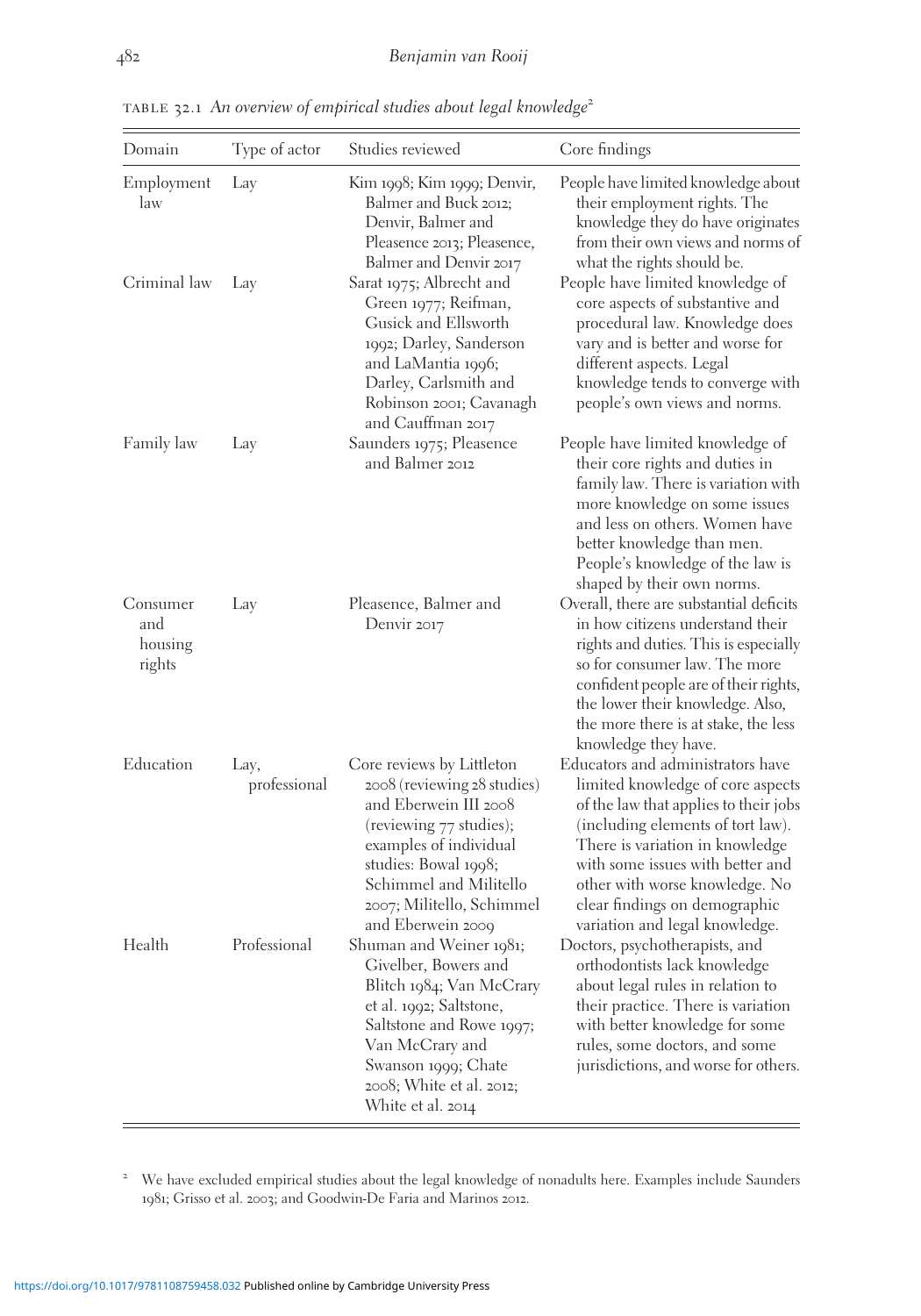| Domain                               | Type of actor        | Studies reviewed                                                                                                                                                                                                                           | Core findings                                                                                                                                                                                                                                                                                                                    |
|--------------------------------------|----------------------|--------------------------------------------------------------------------------------------------------------------------------------------------------------------------------------------------------------------------------------------|----------------------------------------------------------------------------------------------------------------------------------------------------------------------------------------------------------------------------------------------------------------------------------------------------------------------------------|
| Employment<br>law                    | Lay                  | Kim 1998; Kim 1999; Denvir,<br>Balmer and Buck 2012;<br>Denvir, Balmer and<br>Pleasence 2013; Pleasence,<br>Balmer and Denvir 2017                                                                                                         | People have limited knowledge about<br>their employment rights. The<br>knowledge they do have originates<br>from their own views and norms of<br>what the rights should be.                                                                                                                                                      |
| Criminal law                         | Lay                  | Sarat 1975; Albrecht and<br>Green 1977; Reifman,<br>Gusick and Ellsworth<br>1992; Darley, Sanderson<br>and LaMantia 1996;<br>Darley, Carlsmith and<br>Robinson 2001; Cavanagh<br>and Cauffman 2017                                         | People have limited knowledge of<br>core aspects of substantive and<br>procedural law. Knowledge does<br>vary and is better and worse for<br>different aspects. Legal<br>knowledge tends to converge with<br>people's own views and norms.                                                                                       |
| Family law                           | Lay                  | Saunders 1975; Pleasence<br>and Balmer 2012                                                                                                                                                                                                | People have limited knowledge of<br>their core rights and duties in<br>family law. There is variation with<br>more knowledge on some issues<br>and less on others. Women have<br>better knowledge than men.<br>People's knowledge of the law is<br>shaped by their own norms.                                                    |
| Consumer<br>and<br>housing<br>rights | Lay                  | Pleasence, Balmer and<br>Denvir 2017                                                                                                                                                                                                       | Overall, there are substantial deficits<br>in how citizens understand their<br>rights and duties. This is especially<br>so for consumer law. The more<br>confident people are of their rights,<br>the lower their knowledge. Also,<br>the more there is at stake, the less<br>knowledge they have.                               |
| Education                            | Lay,<br>professional | Core reviews by Littleton<br>2008 (reviewing 28 studies)<br>and Eberwein III 2008<br>(reviewing 77 studies);<br>examples of individual<br>studies: Bowal 1998;<br>Schimmel and Militello<br>2007; Militello, Schimmel<br>and Eberwein 2009 | Educators and administrators have<br>limited knowledge of core aspects<br>of the law that applies to their jobs<br>(including elements of tort law).<br>There is variation in knowledge<br>with some issues with better and<br>other with worse knowledge. No<br>clear findings on demographic<br>variation and legal knowledge. |
| Health                               | Professional         | Shuman and Weiner 1981;<br>Givelber, Bowers and<br>Blitch 1984; Van McCrary<br>et al. 1992; Saltstone,<br>Saltstone and Rowe 1997;<br>Van McCrary and<br>Swanson 1999; Chate<br>2008; White et al. 2012;<br>White et al. 2014              | Doctors, psychotherapists, and<br>orthodontists lack knowledge<br>about legal rules in relation to<br>their practice. There is variation<br>with better knowledge for some<br>rules, some doctors, and some<br>jurisdictions, and worse for others.                                                                              |

TABLE 32.1 An overview of empirical studies about legal knowledge<sup>2</sup>

<sup>2</sup> We have excluded empirical studies about the legal knowledge of nonadults here. Examples include Saunders 1981; Grisso et al. 2003; and Goodwin-De Faria and Marinos 2012.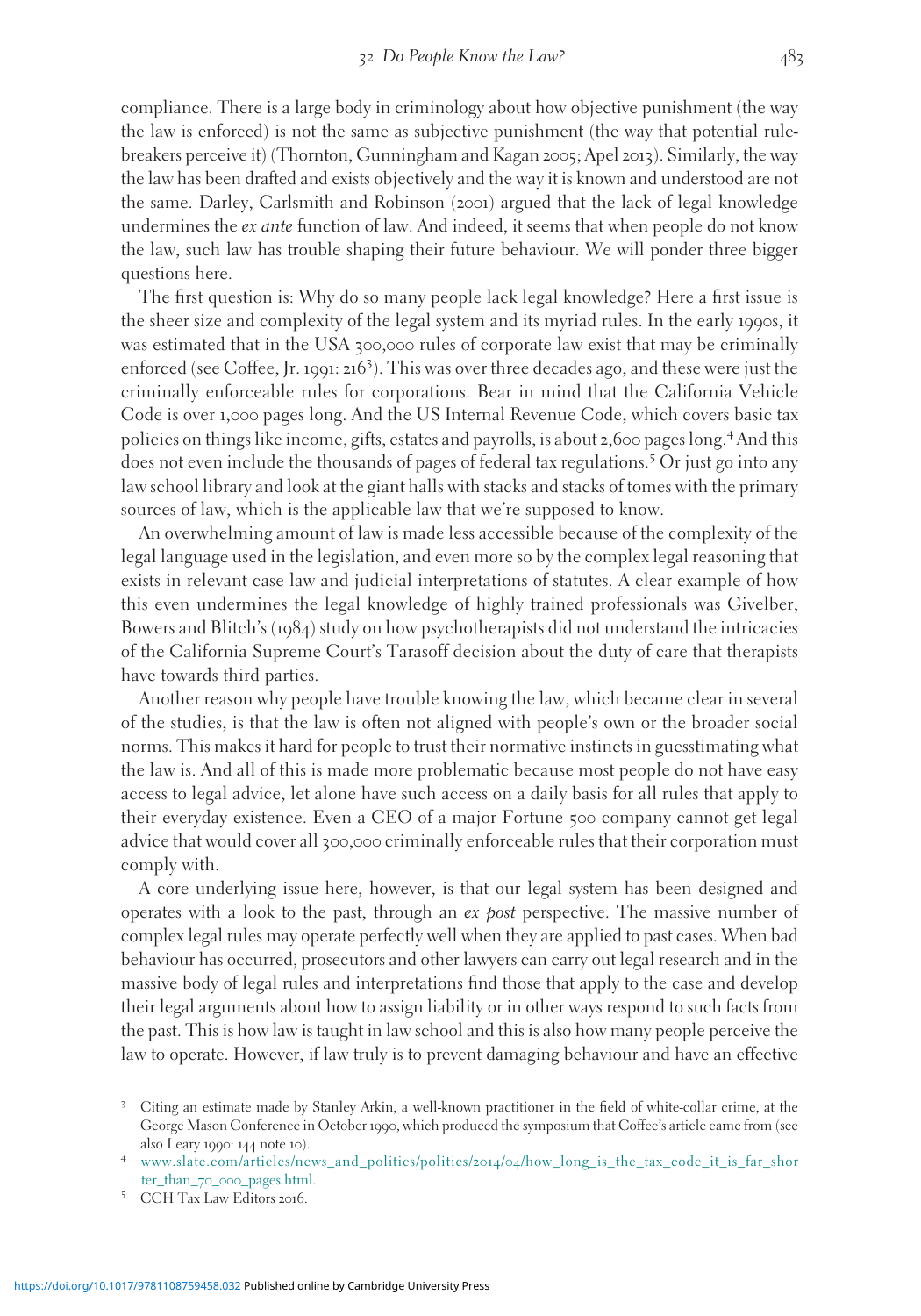compliance. There is a large body in criminology about how objective punishment (the way the law is enforced) is not the same as subjective punishment (the way that potential rulebreakers perceive it) (Thornton, Gunningham and Kagan 2005; Apel 2013). Similarly, the way the law has been drafted and exists objectively and the way it is known and understood are not the same. Darley, Carlsmith and Robinson (2001) argued that the lack of legal knowledge undermines the *ex ante* function of law. And indeed, it seems that when people do not know the law, such law has trouble shaping their future behaviour. We will ponder three bigger questions here.

The first question is: Why do so many people lack legal knowledge? Here a first issue is the sheer size and complexity of the legal system and its myriad rules. In the early 1990s, it was estimated that in the USA 300,000 rules of corporate law exist that may be criminally enforced (see Coffee, Jr. <sup>1991</sup>: <sup>216</sup><sup>3</sup> ). This was over three decades ago, and these were just the criminally enforceable rules for corporations. Bear in mind that the California Vehicle Code is over 1,000 pages long. And the US Internal Revenue Code, which covers basic tax policies on things like income, gifts, estates and payrolls, is about 2,600 pages long.<sup>4</sup> And this does not even include the thousands of pages of federal tax regulations.<sup>5</sup> Or just go into any law school library and look at the giant halls with stacks and stacks of tomes with the primary sources of law, which is the applicable law that we're supposed to know.

An overwhelming amount of law is made less accessible because of the complexity of the legal language used in the legislation, and even more so by the complex legal reasoning that exists in relevant case law and judicial interpretations of statutes. A clear example of how this even undermines the legal knowledge of highly trained professionals was Givelber, Bowers and Blitch's (1984) study on how psychotherapists did not understand the intricacies of the California Supreme Court's Tarasoff decision about the duty of care that therapists have towards third parties.

Another reason why people have trouble knowing the law, which became clear in several of the studies, is that the law is often not aligned with people's own or the broader social norms. This makes it hard for people to trust their normative instincts in guesstimating what the law is. And all of this is made more problematic because most people do not have easy access to legal advice, let alone have such access on a daily basis for all rules that apply to their everyday existence. Even a CEO of a major Fortune 500 company cannot get legal advice that would cover all 300,000 criminally enforceable rules that their corporation must comply with.

A core underlying issue here, however, is that our legal system has been designed and operates with a look to the past, through an  $ex$  post perspective. The massive number of complex legal rules may operate perfectly well when they are applied to past cases. When bad behaviour has occurred, prosecutors and other lawyers can carry out legal research and in the massive body of legal rules and interpretations find those that apply to the case and develop their legal arguments about how to assign liability or in other ways respond to such facts from the past. This is how law is taught in law school and this is also how many people perceive the law to operate. However, if law truly is to prevent damaging behaviour and have an effective

<sup>3</sup> Citing an estimate made by Stanley Arkin, a well-known practitioner in the field of white-collar crime, at the George Mason Conference in October 1990, which produced the symposium that Coffee's article came from (see also Leary <sup>1990</sup>: <sup>144</sup> note <sup>10</sup>). <sup>4</sup> [www.slate.com/articles/news\\_and\\_politics/politics/](http://www.slate.com/articles/news%5Fand%5Fpolitics/politics/2014/04/how%5Flong%5Fis%5Fthe%5Ftax%5Fcode%5Fit%5Fis%5Ffar%5Fshorter%5Fthan%5F70%5F000%5Fpages.html)2014/04/how\_long\_is\_the\_tax\_code\_it\_is\_far\_shor

ter\_than\_70\_000[\\_pages.html](http://www.slate.com/articles/news%5Fand%5Fpolitics/politics/2014/04/how%5Flong%5Fis%5Fthe%5Ftax%5Fcode%5Fit%5Fis%5Ffar%5Fshorter%5Fthan%5F70%5F000%5Fpages.html). <sup>5</sup> CCH Tax Law Editors <sup>2016</sup>.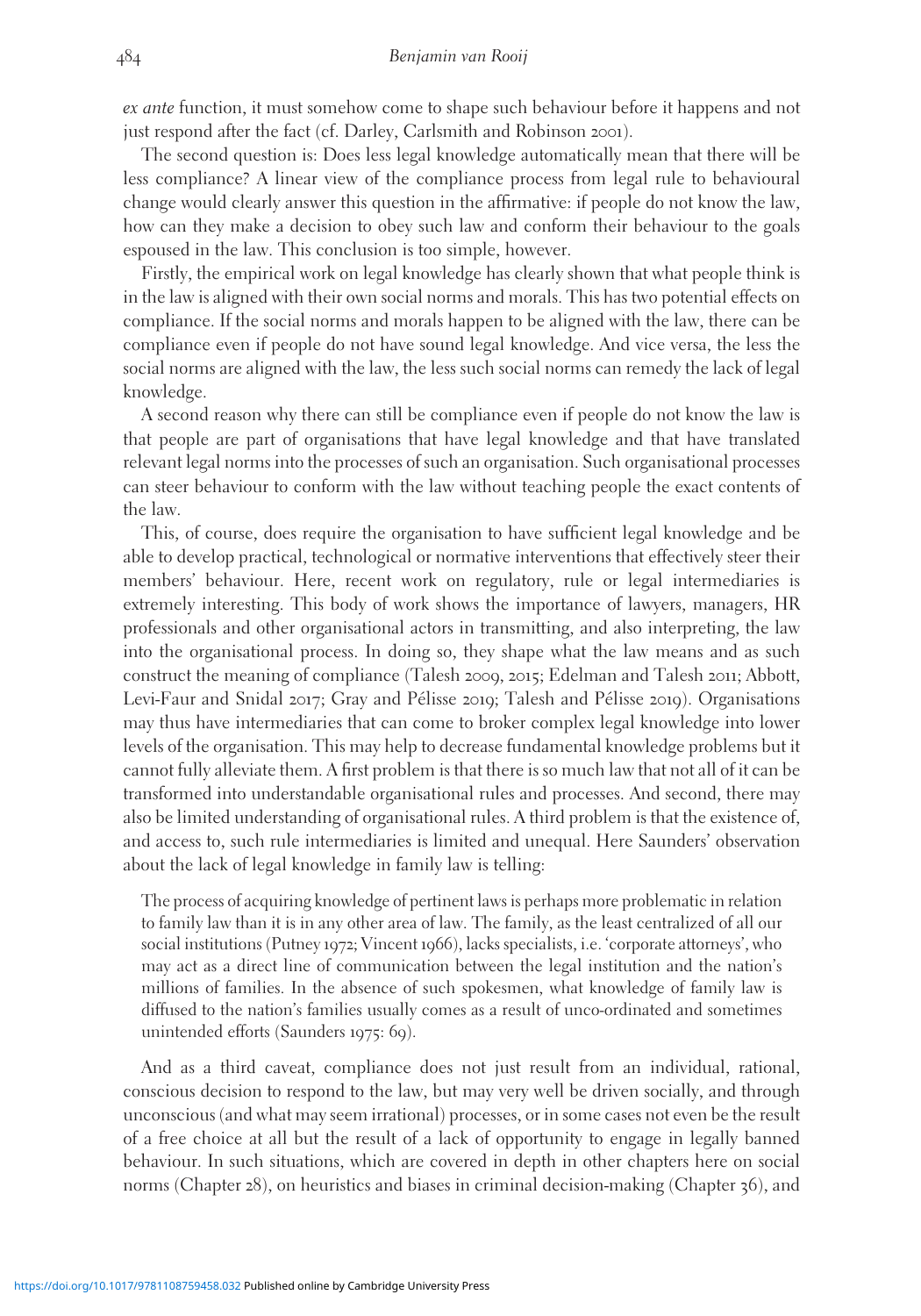ex ante function, it must somehow come to shape such behaviour before it happens and not just respond after the fact (cf. Darley, Carlsmith and Robinson 2001).

The second question is: Does less legal knowledge automatically mean that there will be less compliance? A linear view of the compliance process from legal rule to behavioural change would clearly answer this question in the affirmative: if people do not know the law, how can they make a decision to obey such law and conform their behaviour to the goals espoused in the law. This conclusion is too simple, however.

Firstly, the empirical work on legal knowledge has clearly shown that what people think is in the law is aligned with their own social norms and morals. This has two potential effects on compliance. If the social norms and morals happen to be aligned with the law, there can be compliance even if people do not have sound legal knowledge. And vice versa, the less the social norms are aligned with the law, the less such social norms can remedy the lack of legal knowledge.

A second reason why there can still be compliance even if people do not know the law is that people are part of organisations that have legal knowledge and that have translated relevant legal norms into the processes of such an organisation. Such organisational processes can steer behaviour to conform with the law without teaching people the exact contents of the law.

This, of course, does require the organisation to have sufficient legal knowledge and be able to develop practical, technological or normative interventions that effectively steer their members' behaviour. Here, recent work on regulatory, rule or legal intermediaries is extremely interesting. This body of work shows the importance of lawyers, managers, HR professionals and other organisational actors in transmitting, and also interpreting, the law into the organisational process. In doing so, they shape what the law means and as such construct the meaning of compliance (Talesh 2009, 2015; Edelman and Talesh 2011; Abbott, Levi-Faur and Snidal 2017; Gray and Pélisse 2019; Talesh and Pélisse 2019). Organisations may thus have intermediaries that can come to broker complex legal knowledge into lower levels of the organisation. This may help to decrease fundamental knowledge problems but it cannot fully alleviate them. A first problem is that there is so much law that not all of it can be transformed into understandable organisational rules and processes. And second, there may also be limited understanding of organisational rules. A third problem is that the existence of, and access to, such rule intermediaries is limited and unequal. Here Saunders' observation about the lack of legal knowledge in family law is telling:

The process of acquiring knowledge of pertinent laws is perhaps more problematic in relation to family law than it is in any other area of law. The family, as the least centralized of all our social institutions (Putney 1972; Vincent 1966), lacks specialists, i.e. 'corporate attorneys', who may act as a direct line of communication between the legal institution and the nation's millions of families. In the absence of such spokesmen, what knowledge of family law is diffused to the nation's families usually comes as a result of unco-ordinated and sometimes unintended efforts (Saunders 1975: 69).

And as a third caveat, compliance does not just result from an individual, rational, conscious decision to respond to the law, but may very well be driven socially, and through unconscious (and what may seem irrational) processes, or in some cases not even be the result of a free choice at all but the result of a lack of opportunity to engage in legally banned behaviour. In such situations, which are covered in depth in other chapters here on social norms (Chapter 28), on heuristics and biases in criminal decision-making (Chapter 36), and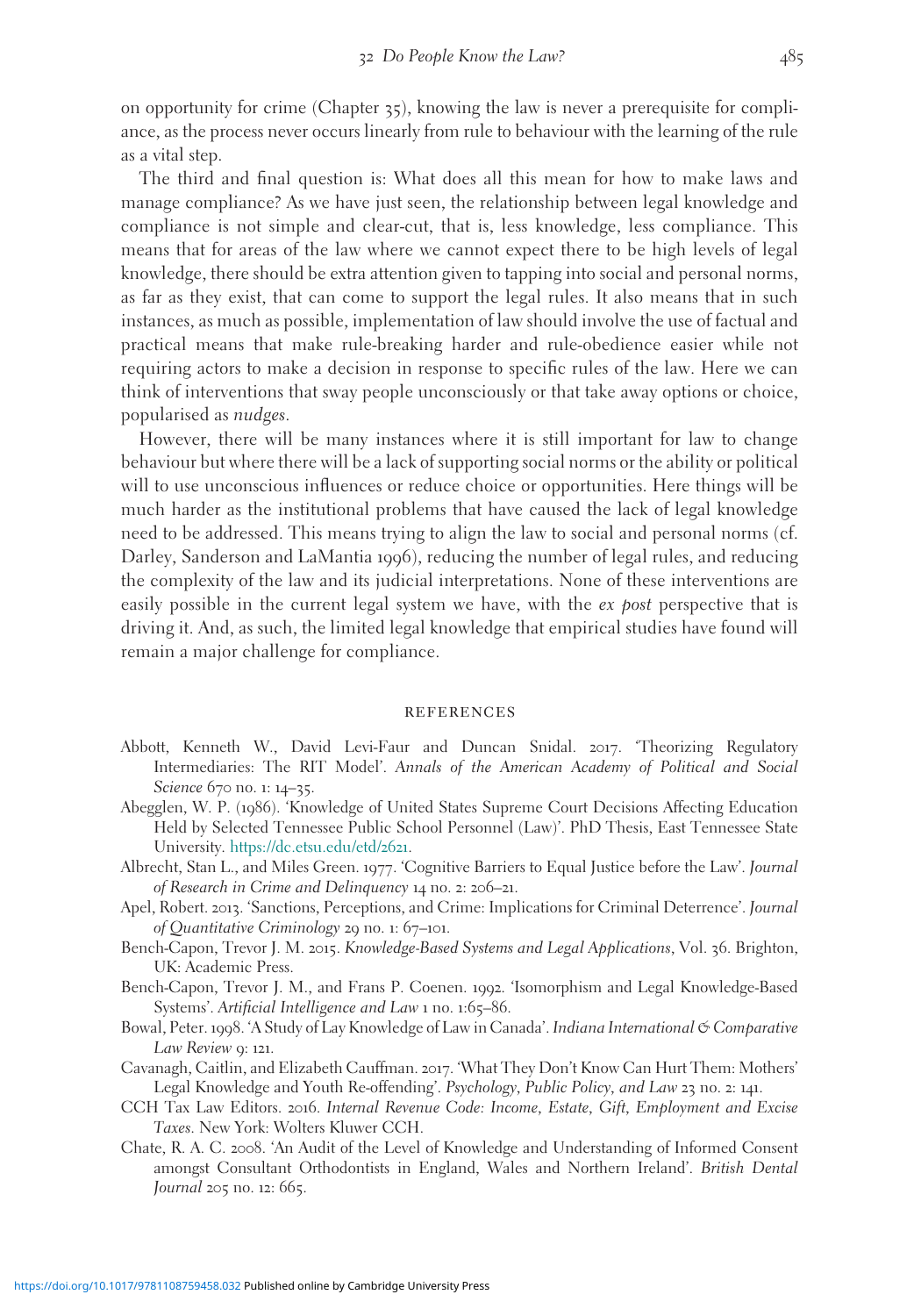on opportunity for crime (Chapter  $\zeta$ , knowing the law is never a prerequisite for compliance, as the process never occurs linearly from rule to behaviour with the learning of the rule as a vital step.

The third and final question is: What does all this mean for how to make laws and manage compliance? As we have just seen, the relationship between legal knowledge and compliance is not simple and clear-cut, that is, less knowledge, less compliance. This means that for areas of the law where we cannot expect there to be high levels of legal knowledge, there should be extra attention given to tapping into social and personal norms, as far as they exist, that can come to support the legal rules. It also means that in such instances, as much as possible, implementation of law should involve the use of factual and practical means that make rule-breaking harder and rule-obedience easier while not requiring actors to make a decision in response to specific rules of the law. Here we can think of interventions that sway people unconsciously or that take away options or choice, popularised as nudges.

However, there will be many instances where it is still important for law to change behaviour but where there will be a lack of supporting social norms or the ability or political will to use unconscious influences or reduce choice or opportunities. Here things will be much harder as the institutional problems that have caused the lack of legal knowledge need to be addressed. This means trying to align the law to social and personal norms (cf. Darley, Sanderson and LaMantia 1996), reducing the number of legal rules, and reducing the complexity of the law and its judicial interpretations. None of these interventions are easily possible in the current legal system we have, with the ex post perspective that is driving it. And, as such, the limited legal knowledge that empirical studies have found will remain a major challenge for compliance.

#### **REFERENCES**

- Abbott, Kenneth W., David Levi-Faur and Duncan Snidal. 2017. 'Theorizing Regulatory Intermediaries: The RIT Model'. Annals of the American Academy of Political and Social Science 670 no. 1: 14–35.
- Abegglen, W. P. (1986). 'Knowledge of United States Supreme Court Decisions Affecting Education Held by Selected Tennessee Public School Personnel (Law)'. PhD Thesis, East Tennessee State University. [https://dc.etsu.edu/etd/](https://dc.etsu.edu/etd/2621)2621.
- Albrecht, Stan L., and Miles Green. 1977. 'Cognitive Barriers to Equal Justice before the Law'. Journal of Research in Crime and Delinquency 14 no. 2: 206–21.
- Apel, Robert. 2013. 'Sanctions, Perceptions, and Crime: Implications for Criminal Deterrence'. Journal of Quantitative Criminology 29 no. 1: 67–101.
- Bench-Capon, Trevor J. M. 2015. Knowledge-Based Systems and Legal Applications, Vol. 36. Brighton, UK: Academic Press.
- Bench-Capon, Trevor J. M., and Frans P. Coenen. 1992. 'Isomorphism and Legal Knowledge-Based Systems'. Artificial Intelligence and Law 1 no. 1:65–86.
- Bowal, Peter. 1998. 'A Study of Lay Knowledge of Law in Canada'. Indiana International & Comparative Law Review 9: 121.
- Cavanagh, Caitlin, and Elizabeth Cauffman. 2017. 'What They Don't Know Can Hurt Them: Mothers' Legal Knowledge and Youth Re-offending'. Psychology, Public Policy, and Law 23 no. 2: 141.
- CCH Tax Law Editors. 2016. Internal Revenue Code: Income, Estate, Gift, Employment and Excise Taxes. New York: Wolters Kluwer CCH.
- Chate, R. A. C. 2008. 'An Audit of the Level of Knowledge and Understanding of Informed Consent amongst Consultant Orthodontists in England, Wales and Northern Ireland'. British Dental Journal 205 no. 12: 665.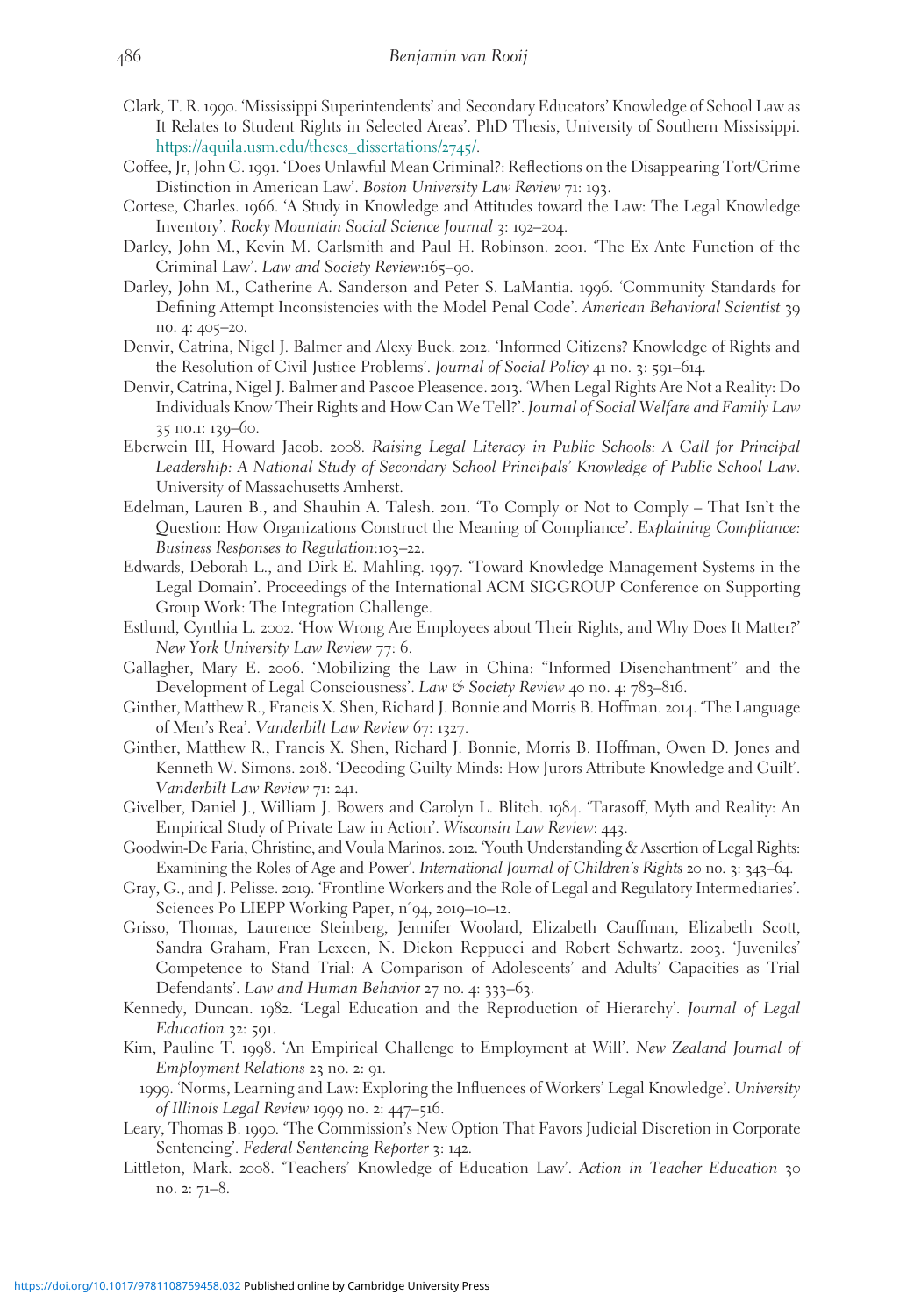- Clark, T. R. 1990. 'Mississippi Superintendents' and Secondary Educators' Knowledge of School Law as It Relates to Student Rights in Selected Areas'. PhD Thesis, University of Southern Mississippi. [https://aquila.usm.edu/theses\\_dissertations/](https://aquila.usm.edu/theses%5Fdissertations/2745/)2745/.
- Coffee, Jr, John C. 1991. 'Does Unlawful Mean Criminal?: Reflections on the Disappearing Tort/Crime Distinction in American Law'. Boston University Law Review 71: 193.
- Cortese, Charles. 1966. 'A Study in Knowledge and Attitudes toward the Law: The Legal Knowledge Inventory'. Rocky Mountain Social Science Journal 3: 192–204.
- Darley, John M., Kevin M. Carlsmith and Paul H. Robinson. 2001. 'The Ex Ante Function of the Criminal Law'. Law and Society Review:165–90.
- Darley, John M., Catherine A. Sanderson and Peter S. LaMantia. 1996. 'Community Standards for Defining Attempt Inconsistencies with the Model Penal Code'. American Behavioral Scientist 39 no. 4: 405–20.
- Denvir, Catrina, Nigel J. Balmer and Alexy Buck. 2012. 'Informed Citizens? Knowledge of Rights and the Resolution of Civil Justice Problems'. Journal of Social Policy 41 no. 3: 591–614.
- Denvir, Catrina, Nigel J. Balmer and Pascoe Pleasence. 2013. 'When Legal Rights Are Not a Reality: Do Individuals Know Their Rights and How Can We Tell?'. Journal of Social Welfare and Family Law 35 no.1: 139–60.
- Eberwein III, Howard Jacob. 2008. Raising Legal Literacy in Public Schools: A Call for Principal Leadership: A National Study of Secondary School Principals' Knowledge of Public School Law. University of Massachusetts Amherst.
- Edelman, Lauren B., and Shauhin A. Talesh. 2011. 'To Comply or Not to Comply That Isn't the Question: How Organizations Construct the Meaning of Compliance'. Explaining Compliance: Business Responses to Regulation:103–22.
- Edwards, Deborah L., and Dirk E. Mahling. 1997. 'Toward Knowledge Management Systems in the Legal Domain'. Proceedings of the International ACM SIGGROUP Conference on Supporting Group Work: The Integration Challenge.
- Estlund, Cynthia L. 2002. 'How Wrong Are Employees about Their Rights, and Why Does It Matter?' New York University Law Review 77: 6.
- Gallagher, Mary E. 2006. 'Mobilizing the Law in China: "Informed Disenchantment" and the Development of Legal Consciousness'. Law & Society Review 40 no. 4: 783–816.
- Ginther, Matthew R., Francis X. Shen, Richard J. Bonnie and Morris B. Hoffman. 2014. 'The Language of Men's Rea'. Vanderbilt Law Review 67: 1327.
- Ginther, Matthew R., Francis X. Shen, Richard J. Bonnie, Morris B. Hoffman, Owen D. Jones and Kenneth W. Simons. 2018. 'Decoding Guilty Minds: How Jurors Attribute Knowledge and Guilt'. Vanderbilt Law Review 71: 241.
- Givelber, Daniel J., William J. Bowers and Carolyn L. Blitch. 1984. 'Tarasoff, Myth and Reality: An Empirical Study of Private Law in Action'. Wisconsin Law Review: 443.
- Goodwin-De Faria, Christine, and Voula Marinos. 2012. 'Youth Understanding & Assertion of Legal Rights: Examining the Roles of Age and Power'. International Journal of Children's Rights 20 no. 3: 343–64.
- Gray, G., and J. Pelisse. 2019. 'Frontline Workers and the Role of Legal and Regulatory Intermediaries'. Sciences Po LIEPP Working Paper, n˚94, 2019–10–12.
- Grisso, Thomas, Laurence Steinberg, Jennifer Woolard, Elizabeth Cauffman, Elizabeth Scott, Sandra Graham, Fran Lexcen, N. Dickon Reppucci and Robert Schwartz. 2003. 'Juveniles' Competence to Stand Trial: A Comparison of Adolescents' and Adults' Capacities as Trial Defendants'. Law and Human Behavior 27 no. 4: 333–63.
- Kennedy, Duncan. 1982. 'Legal Education and the Reproduction of Hierarchy'. Journal of Legal Education 32: 591.
- Kim, Pauline T. 1998. 'An Empirical Challenge to Employment at Will'. New Zealand Journal of Employment Relations 23 no. 2: 91.
- 1999. 'Norms, Learning and Law: Exploring the Influences of Workers' Legal Knowledge'. University of Illinois Legal Review 1999 no. 2: 447–516.
- Leary, Thomas B. 1990. 'The Commission's New Option That Favors Judicial Discretion in Corporate Sentencing'. Federal Sentencing Reporter 3: 142.
- Littleton, Mark. 2008. 'Teachers' Knowledge of Education Law'. Action in Teacher Education 30 no. 2: 71–8.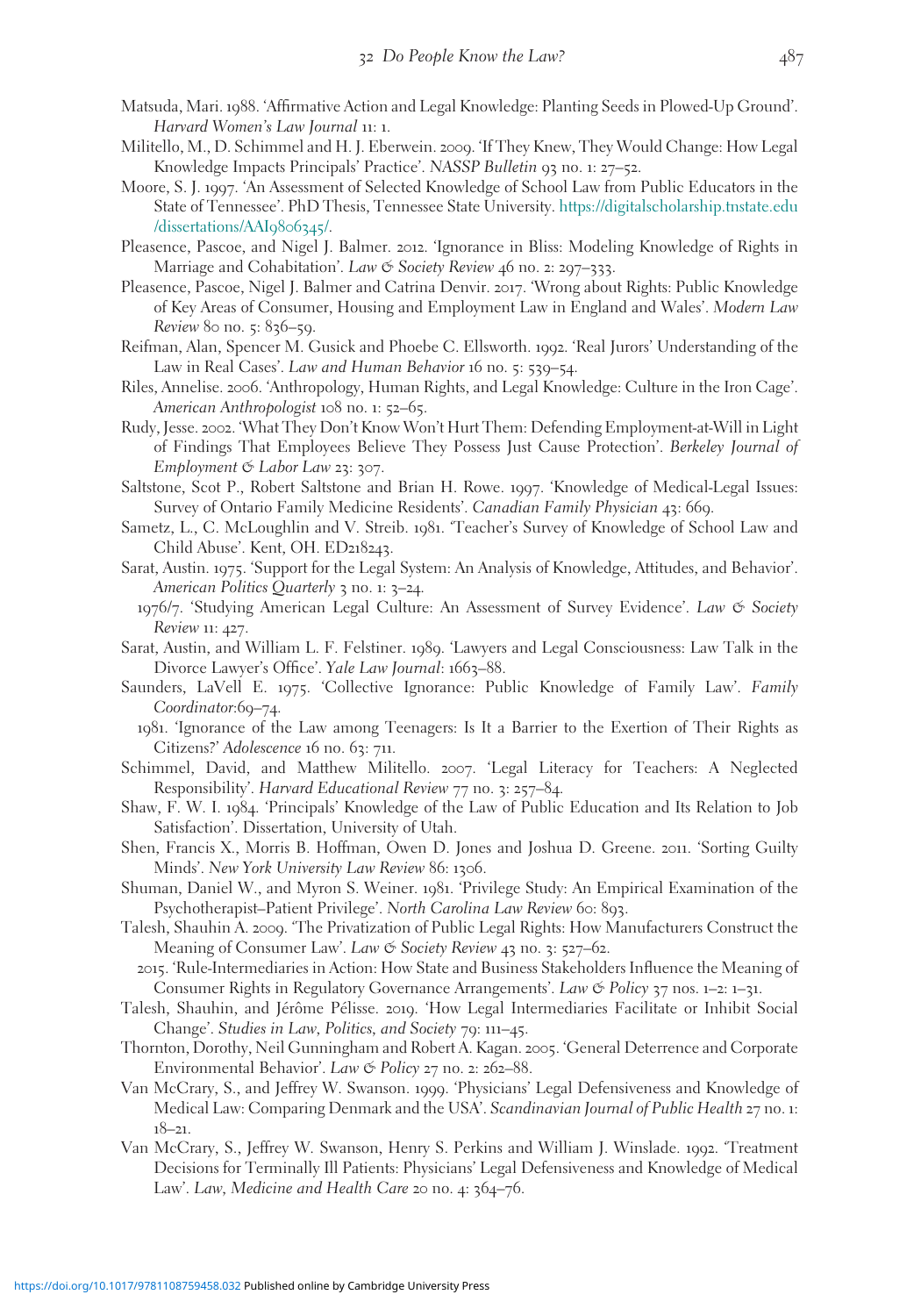- Matsuda, Mari. 1988. 'Affirmative Action and Legal Knowledge: Planting Seeds in Plowed-Up Ground'. Harvard Women's Law Journal 11: 1.
- Militello, M., D. Schimmel and H. J. Eberwein. 2009. 'If They Knew, They Would Change: How Legal Knowledge Impacts Principals' Practice'. NASSP Bulletin 93 no. 1: 27–52.
- Moore, S. J. 1997. 'An Assessment of Selected Knowledge of School Law from Public Educators in the State of Tennessee'. PhD Thesis, Tennessee State University. [https://digitalscholarship.tnstate.edu](https://digitalscholarship.tnstate.edu/dissertations/AAI9806345/) [/dissertations/AAI](https://digitalscholarship.tnstate.edu/dissertations/AAI9806345/)9806345/.
- Pleasence, Pascoe, and Nigel J. Balmer. 2012. 'Ignorance in Bliss: Modeling Knowledge of Rights in Marriage and Cohabitation'. Law & Society Review 46 no. 2: 297–333.
- Pleasence, Pascoe, Nigel J. Balmer and Catrina Denvir. 2017. 'Wrong about Rights: Public Knowledge of Key Areas of Consumer, Housing and Employment Law in England and Wales'. Modern Law Review 80 no. 5: 836–59.
- Reifman, Alan, Spencer M. Gusick and Phoebe C. Ellsworth. 1992. 'Real Jurors' Understanding of the Law in Real Cases'. Law and Human Behavior 16 no. 5: 539–54.
- Riles, Annelise. 2006. 'Anthropology, Human Rights, and Legal Knowledge: Culture in the Iron Cage'. American Anthropologist 108 no. 1: 52–65.
- Rudy, Jesse. 2002. 'What They Don't Know Won't Hurt Them: Defending Employment-at-Will in Light of Findings That Employees Believe They Possess Just Cause Protection'. Berkeley Journal of Employment & Labor Law 23: 307.
- Saltstone, Scot P., Robert Saltstone and Brian H. Rowe. 1997. 'Knowledge of Medical-Legal Issues: Survey of Ontario Family Medicine Residents'. Canadian Family Physician 43: 669.
- Sametz, L., C. McLoughlin and V. Streib. 1981. 'Teacher's Survey of Knowledge of School Law and Child Abuse'. Kent, OH. ED218243.
- Sarat, Austin. 1975. 'Support for the Legal System: An Analysis of Knowledge, Attitudes, and Behavior'. American Politics Quarterly 3 no. 1: 3–24.
- 1976/7. 'Studying American Legal Culture: An Assessment of Survey Evidence'. Law & Society Review 11: 427.
- Sarat, Austin, and William L. F. Felstiner. 1989. 'Lawyers and Legal Consciousness: Law Talk in the Divorce Lawyer's Office'. Yale Law Journal: 1663-88.
- Saunders, LaVell E. 1975. 'Collective Ignorance: Public Knowledge of Family Law'. Family Coordinator:69-74.
	- 1981. 'Ignorance of the Law among Teenagers: Is It a Barrier to the Exertion of Their Rights as Citizens?' Adolescence 16 no. 63: 711.
- Schimmel, David, and Matthew Militello. 2007. 'Legal Literacy for Teachers: A Neglected Responsibility'. Harvard Educational Review 77 no. 3: 257–84.
- Shaw, F. W. I. 1984. 'Principals' Knowledge of the Law of Public Education and Its Relation to Job Satisfaction'. Dissertation, University of Utah.
- Shen, Francis X., Morris B. Hoffman, Owen D. Jones and Joshua D. Greene. 2011. 'Sorting Guilty Minds'. New York University Law Review 86: 1306.
- Shuman, Daniel W., and Myron S. Weiner. 1981. 'Privilege Study: An Empirical Examination of the Psychotherapist–Patient Privilege'. North Carolina Law Review 60: 893.
- Talesh, Shauhin A. 2009. 'The Privatization of Public Legal Rights: How Manufacturers Construct the Meaning of Consumer Law'. Law & Society Review 43 no. 3: 527–62.
	- 2015. 'Rule-Intermediaries in Action: How State and Business Stakeholders Influence the Meaning of Consumer Rights in Regulatory Governance Arrangements'. Law  $\mathfrak{S}$  Policy 37 nos. 1–2: 1–31.
- Talesh, Shauhin, and Jérôme Pélisse. 2019. 'How Legal Intermediaries Facilitate or Inhibit Social Change'. Studies in Law, Politics, and Society 79: 111–45.
- Thornton, Dorothy, Neil Gunningham and Robert A. Kagan. 2005. 'General Deterrence and Corporate Environmental Behavior'. Law & Policy 27 no. 2: 262–88.
- Van McCrary, S., and Jeffrey W. Swanson. 1999. 'Physicians' Legal Defensiveness and Knowledge of Medical Law: Comparing Denmark and the USA'. Scandinavian Journal of Public Health 27 no. 1: 18–21.
- Van McCrary, S., Jeffrey W. Swanson, Henry S. Perkins and William J. Winslade. 1992. 'Treatment Decisions for Terminally Ill Patients: Physicians' Legal Defensiveness and Knowledge of Medical Law'. Law, Medicine and Health Care 20 no. 4: 364-76.